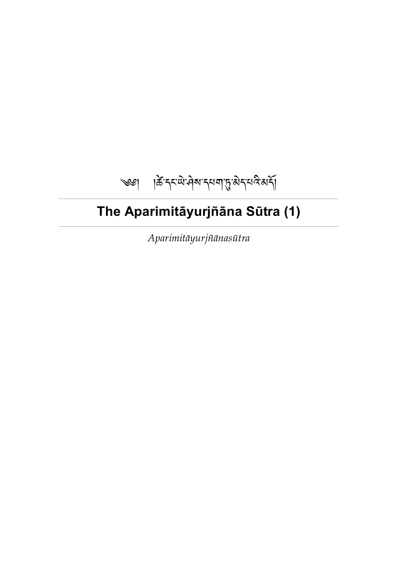# ༄༅། །་དང་་ས་དཔག་་ད་པ་མ།

# <span id="page-0-0"></span>**The Aparimitāyurjñāna Sūtra (1)**

*Aparimitāyurjñānasūtra*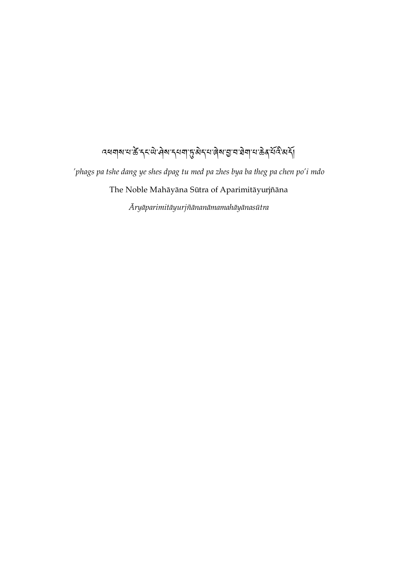# <u>्</u><br>वस्य वारा के दुराये ने बारा से से दिया है। उनके सम्मान के दिया में दिया कि

*'phags pa tshe dang ye shes dpag tu med pa zhes bya ba theg pa chen po'i mdo* The Noble Mahāyāna Sūtra of Aparimitāyurjñāna

*Āryāparimitāyurjñānanāmamahāyānasūtra*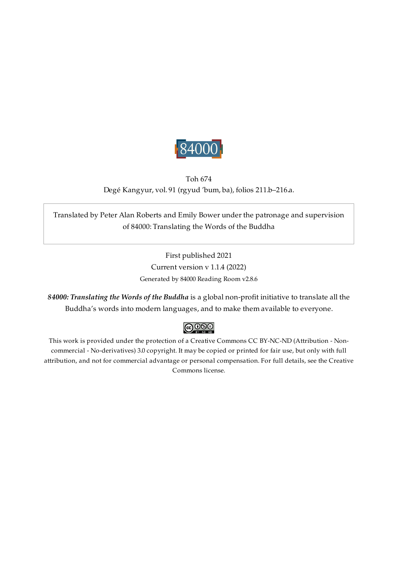

# <span id="page-2-0"></span>Toh 674 Degé Kangyur, vol. 91 (rgyud 'bum, ba), folios 211.b–216.a.

Translated by Peter Alan Roberts and Emily Bower under the patronage and supervision of 84000: Translating the Words of the Buddha

> First published 2021 Current version v 1.1.4 (2022) Generated by 84000 Reading Room v2.8.6

*84000: Translating the Words of the Buddha* is a global non-profit initiative to translate all the Buddha's words into modern languages, and to make them available to everyone.

# $\bigcirc$  000

This work is provided under the protection of a Creative Commons CC BY-NC-ND (Attribution - Noncommercial - No-derivatives) 3.0 copyright. It may be copied or printed for fair use, but only with full attribution, and not for commercial advantage or personal compensation. For full details, see the Creative Commons license.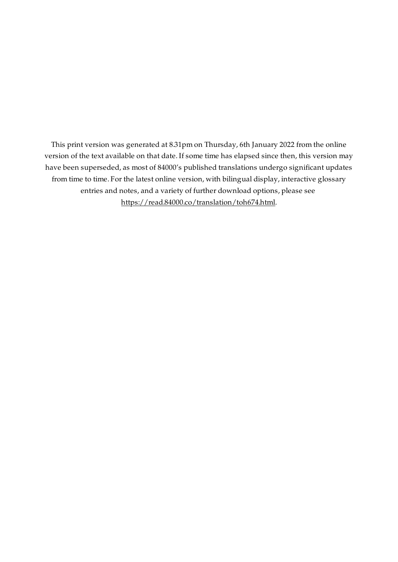This print version was generated at 8.31pm on Thursday, 6th January 2022 from the online version of the text available on that date. If some time has elapsed since then, this version may have been superseded, as most of 84000's published translations undergo significant updates from time to time. For the latest online version, with bilingual display, interactive glossary entries and notes, and a variety of further download options, please see [https://read.84000.co/translation/toh674.html.](https://read.84000.co/translation/toh674.html)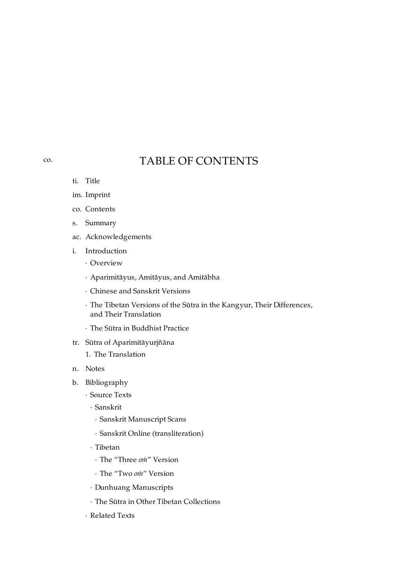# TABLE OF CONTENTS

- ti. [Title](#page-0-0)
- im. [Imprint](#page-2-0)
- co. [Contents](#page-4-0)
- s. [Summary](#page-6-0)
- ac. [Acknowledgements](#page-7-0)
- i. [Introduction](#page-8-0)
	- · [Overview](#page-8-1)
	- · [Aparimitāyus,](#page-9-0) Amitāyus, and Amitābha
	- · Chinese and Sanskrit [Versions](#page-11-0)
	- · The Tibetan Versions of the Sūtra in the Kangyur, Their [Differences,](#page-12-0) and Their Translation
	- · The Sūtra in [Buddhist](#page-19-0) Practice
- tr. Sūtra of [Aparimitāyurjñāna](#page-21-0)
	- 1. The [Translation](#page-22-0)
- n. [Notes](#page-30-0)
- b. [Bibliography](#page-41-0)
	- · [Source](#page-41-1) Texts
		- · [Sanskrit](#page-41-2)
			- · Sanskrit [Manuscript](#page-41-3) Scans
			- · Sanskrit Online [\(transliteration\)](#page-41-4)
		- · [Tibetan](#page-41-5)
			- · The "Three *oṁ*" [Version](#page-41-6)
			- · The "Two *oṁ*" [Version](#page-42-0)
		- · Dunhuang [Manuscripts](#page-42-1)
		- · The Sūtra in Other Tibetan [Collections](#page-43-0)
	- · [Related](#page-44-0) Texts

### <span id="page-4-0"></span>[co.](#page-4-0)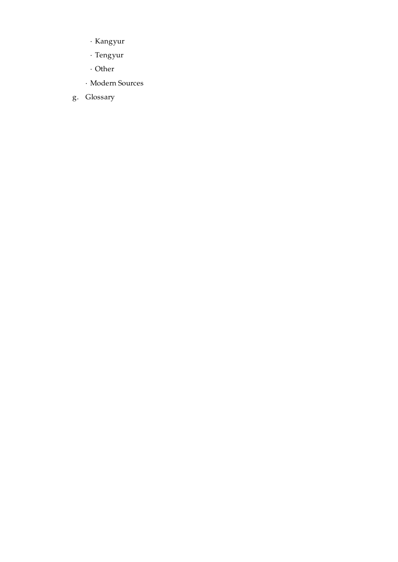- · [Kangyur](#page-44-1)
- · [Tengyur](#page-44-2)
- · [Other](#page-45-0)
- · [Modern](#page-45-1) Sources
- g. [Glossary](#page-47-0)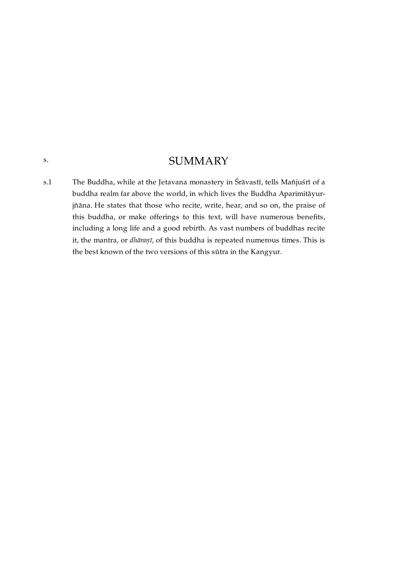# **SUMMARY**

<span id="page-6-1"></span><span id="page-6-0"></span>The Buddha, while at the Jetavana monastery in Śrāvastī, tells Mañjuśrī of a buddha realm far above the world, in which lives the Buddha Aparimitāyurjñāna. He states that those who recite, write, hear, and so on, the praise of this buddha, or make offerings to this text, will have numerous benefits, including a long life and a good rebirth. As vast numbers of buddhas recite it, the mantra, or *dhāraṇī*, of this buddha is repeated numerous times. This is the best known of the two versions of this sūtra in the Kangyur. [s.1](#page-6-1)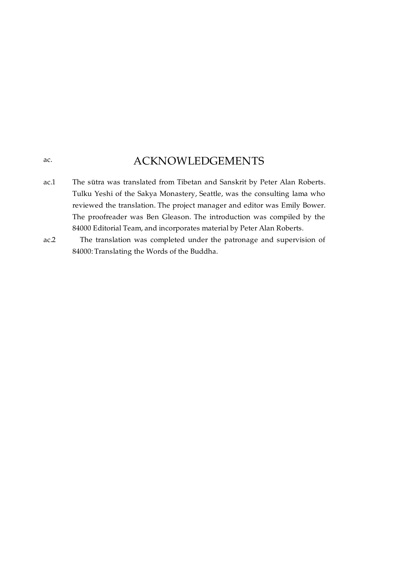# ACKNOWLEDGEMENTS

<span id="page-7-0"></span>[ac.](#page-7-0)

- <span id="page-7-1"></span>The sūtra was translated from Tibetan and Sanskrit by Peter Alan Roberts. Tulku Yeshi of the Sakya Monastery, Seattle, was the consulting lama who reviewed the translation. The project manager and editor was Emily Bower. The proofreader was Ben Gleason. The introduction was compiled by the 84000 Editorial Team, and incorporates material by Peter Alan Roberts. [ac.1](#page-7-1)
- <span id="page-7-2"></span>The translation was completed under the patronage and supervision of 84000: Translating the Words of the Buddha.  $ac.2$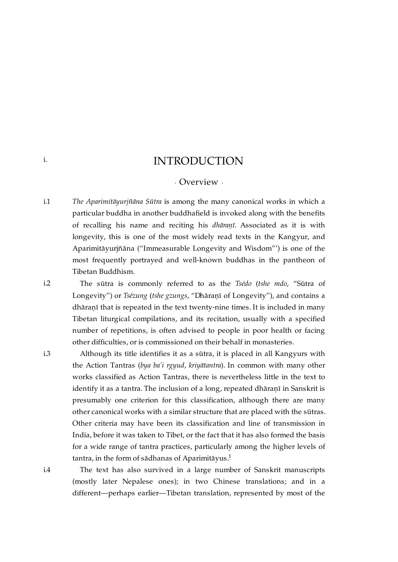# INTRODUCTION

### · Overview ·

<span id="page-8-2"></span><span id="page-8-1"></span>*The Aparimitāyurjñāna Sūtra* is among the many canonical works in which a particular buddha in another buddhafield is invoked along with the benefits of recalling his name and reciting his *dhāraṇī*. Associated as it is with longevity, this is one of the most widely read texts in the Kangyur, and Aparimitāyurjñāna ("Immeasurable Longevity and Wisdom"') is one of the most frequently portrayed and well-known buddhas in the pantheon of Tibetan Buddhism. [i.1](#page-8-2)

> The sūtra is commonly referred to as the *Tsédo* (*tshe mdo*, "Sūtra of Longevity") or *Tsézung* (*tshe gzungs*, "Dhāraṇī of Longevity"), and contains a dhāraṇī that is repeated in the text twenty-nine times. It is included in many Tibetan liturgical compilations, and its recitation, usually with a specified number of repetitions, is often advised to people in poor health or facing other difficulties, or is commissioned on their behalf in monasteries.

> Although its title identifies it as a sūtra, it is placed in all Kangyurs with the Action Tantras (*bya ba'i rgyud*, *kriyātantra*). In common with many other works classified as Action Tantras, there is nevertheless little in the text to identify it as a tantra. The inclusion of a long, repeated dhāraṇī in Sanskrit is presumably one criterion for this classification, although there are many other canonical works with a similar structure that are placed with the sūtras. Other criteria may have been its classification and line of transmission in India, before it was taken to Tibet, or the fact that it has also formed the basis for a wide range of tantra practices, particularly among the higher levels of tantra, in the form of sādhanas of Aparimitāyus $^1$  $^1$

> <span id="page-8-6"></span><span id="page-8-5"></span>The text has also survived in a large number of Sanskrit manuscripts (mostly later Nepalese ones); in two Chinese translations; and in a different—perhaps earlier—Tibetan translation, represented by most of the

<span id="page-8-3"></span>[i.2](#page-8-3)

<span id="page-8-0"></span>[i.](#page-8-0)

<span id="page-8-4"></span>[i.3](#page-8-4)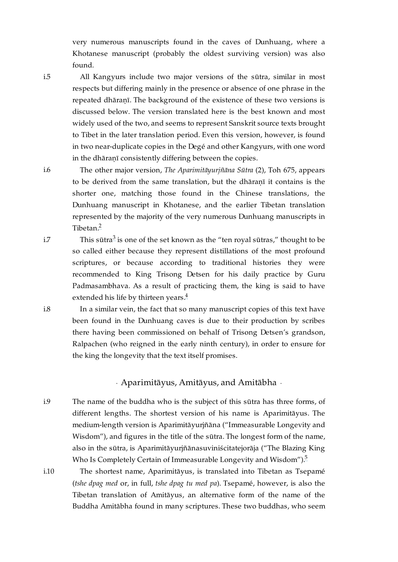very numerous manuscripts found in the caves of Dunhuang, where a Khotanese manuscript (probably the oldest surviving version) was also found.

<span id="page-9-1"></span>[i.5](#page-9-1)

<span id="page-9-2"></span>[i.6](#page-9-2)

All Kangyurs include two major versions of the sūtra, similar in most respects but differing mainly in the presence or absence of one phrase in the repeated dhāraṇī. The background of the existence of these two versions is discussed below. The version translated here is the best known and most widely used of the two, and seems to represent Sanskrit source texts brought to Tibet in the later translation period. Even this version, however, is found in two near-duplicate copies in the Degé and other Kangyurs, with one word in the dhāraṇī consistently differing between the copies.

The other major version, *The Aparimitāyurjñāna Sūtra* (2), Toh 675, appears to be derived from the same translation, but the dhāraṇī it contains is the shorter one, matching those found in the Chinese translations, the Dunhuang manuscript in Khotanese, and the earlier Tibetan translation represented by the majority of the very numerous Dunhuang manuscripts in Tibetan. [2](#page-30-2)

<span id="page-9-8"></span><span id="page-9-7"></span>This sūtra $^3$  $^3$  is one of the set known as the "ten royal sūtras," thought to be so called either because they represent distillations of the most profound scriptures, or because according to traditional histories they were recommended to King Trisong Detsen for his daily practice by Guru Padmasambhava. As a result of practicing them, the king is said to have extended his life by thirteen years.<sup>[4](#page-30-4)</sup>

In a similar vein, the fact that so many manuscript copies of this text have been found in the Dunhuang caves is due to their production by scribes there having been commissioned on behalf of Trisong Detsen's grandson, Ralpachen (who reigned in the early ninth century), in order to ensure for the king the longevity that the text itself promises.

<span id="page-9-10"></span><span id="page-9-9"></span>· Aparimitāyus, Amitāyus, and Amitābha ·

<span id="page-9-5"></span><span id="page-9-0"></span>The name of the buddha who is the subject of this sūtra has three forms, of different lengths. The shortest version of his name is Aparimitāyus. The medium-length version is Aparimitāyurjñāna ("Immeasurable Longevity and Wisdom"), and figures in the title of the sūtra. The longest form of the name, also in the sūtra, is Aparimitāyurjñānasuviniścitatejorāja ("The Blazing King Who Is Completely Certain of Immeasurable Longevity and Wisdom").<sup>[5](#page-30-5)</sup> [i.9](#page-9-5)

<span id="page-9-6"></span>The shortest name, Aparimitāyus, is translated into Tibetan as Tsepamé (*tshe dpag med* or, in full, *tshe dpag tu med pa*). Tsepamé, however, is also the Tibetan translation of Amitāyus, an alternative form of the name of the Buddha Amitābha found in many scriptures. These two buddhas, who seem

<span id="page-9-3"></span>[i.7](#page-9-3)

<span id="page-9-4"></span>[i.8](#page-9-4)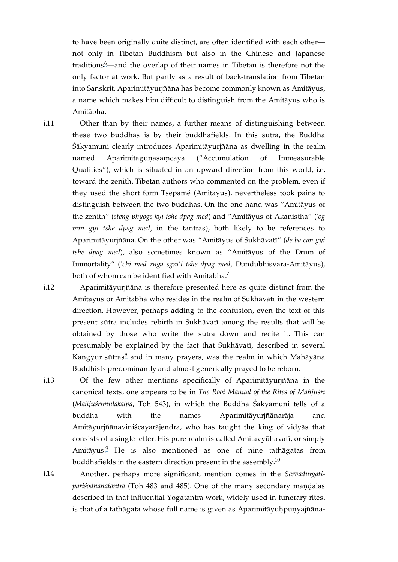<span id="page-10-4"></span>to have been originally quite distinct, are often identified with each other not only in Tibetan Buddhism but also in the Chinese and Japanese traditions  $6$ —and the overlap of their names in Tibetan is therefore not the only factor at work. But partly as a result of back-translation from Tibetan into Sanskrit, Aparimitāyurjñāna has become commonly known as Amitāyus, a name which makes him difficult to distinguish from the Amitāyus who is Amitābha.

<span id="page-10-0"></span>[i.11](#page-10-0)

Other than by their names, a further means of distinguishing between these two buddhas is by their buddhafields. In this sūtra, the Buddha Śākyamuni clearly introduces Aparimitāyurjñāna as dwelling in the realm named Aparimitaguṇasaṃcaya ("Accumulation of Immeasurable Qualities"), which is situated in an upward direction from this world, i.e. toward the zenith. Tibetan authors who commented on the problem, even if they used the short form Tsepamé (Amitāyus), nevertheless took pains to distinguish between the two buddhas. On the one hand was "Amitāyus of the zenith" (*steng phyogs kyi tshe dpag med*) and "Amitāyus of Akaniṣṭha" (*'og min gyi tshe dpag med*, in the tantras), both likely to be references to Aparimitāyurjñāna. On the other was "Amitāyus of Sukhāvatī" (*de ba can gyi tshe dpag med*), also sometimes known as "Amitāyus of the Drum of Immortality" (*'chi med rnga sgra'i tshe dpag med*, Dundubhisvara-Amitāyus), both of whom can be identified with Amitābha. [7](#page-31-1)

<span id="page-10-5"></span><span id="page-10-1"></span>Aparimitāyurjñāna is therefore presented here as quite distinct from the Amitāyus or Amitābha who resides in the realm of Sukhāvatī in the western direction. However, perhaps adding to the confusion, even the text of this present sūtra includes rebirth in Sukhāvatī among the results that will be obtained by those who write the sūtra down and recite it. This can presumably be explained by the fact that Sukhāvatī, described in several Kangyur sūtras $^8$  $^8$  and in many prayers, was the realm in which Mahāyāna Buddhists predominantly and almost generically prayed to be reborn. [i.12](#page-10-1)

<span id="page-10-6"></span>Of the few other mentions specifically of Aparimitāyurjñāna in the canonical texts, one appears to be in *The Root Manual of the Rites of Mañjuśrī* (*Mañjuśrīmūlakalpa*, Toh 543), in which the Buddha Śākyamuni tells of a buddha with the names Aparimitāyurjñānarāja and Amitāyurjñānaviniścayarājendra, who has taught the king of vidyās that consists of a single letter. His pure realm is called Amitavyūhavatī, or simply Amitāyus.<sup>[9](#page-31-3)</sup> He is also mentioned as one of nine tathāgatas from buddhafields in the eastern direction present in the assembly. $^\mathrm{10}$  $^\mathrm{10}$  $^\mathrm{10}$ 

<span id="page-10-8"></span><span id="page-10-7"></span><span id="page-10-3"></span>Another, perhaps more significant, mention comes in the *Sarvadurgatipariśodhanatantra* (Toh 483 and 485). One of the many secondary maṇḍalas described in that influential Yogatantra work, widely used in funerary rites, is that of a tathāgata whose full name is given as Aparimitāyuhpunyajñāna-

<span id="page-10-2"></span>[i.13](#page-10-2)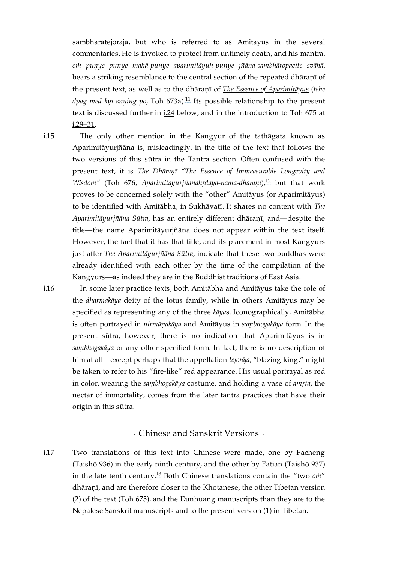<span id="page-11-4"></span>sambhāratejorāja, but who is referred to as Amitāyus in the several commentaries. He is invoked to protect from untimely death, and his mantra, *oṁ puṇye puṇye mahā-puṇye aparimitāyuḥ-puṇye jñāna-sambhāropacite svāhā*, bears a striking resemblance to the central section of the repeated dhāranī of the present text, as well as to the dhāraṇī of *The Essence of [Aparimitāyus](https://read.84000.co/translation/toh673a.html)* (*tshe* dpag med kyi snying po, Toh 673a).<sup>[11](#page-31-5)</sup> Its possible relationship to the present text is discussed further in [i.24](#page-13-0) below, and in the introduction to Toh 675 at [i.29–31.](https://read.84000.co/translation/toh675.html#UT22084-091-073-393)

<span id="page-11-1"></span>The only other mention in the Kangyur of the tathāgata known as Aparimitāyurjñāna is, misleadingly, in the title of the text that follows the two versions of this sūtra in the Tantra section. Often confused with the present text, it is *The Dhāraṇī "The Essence of Immeasurable Longevity and Wisdom"* (Toh 676, Aparimitāyurjñānahṛdaya-nāma-dhāraṇī),<sup>[12](#page-31-6)</sup> but that work proves to be concerned solely with the "other" Amitāyus (or Aparimitāyus) to be identified with Amitābha, in Sukhāvatī. It shares no content with *The Aparimitāyurjñāna Sūtra*, has an entirely different dhāraṇī, and—despite the title—the name Aparimitāyurjñāna does not appear within the text itself. However, the fact that it has that title, and its placement in most Kangyurs just after *The Aparimitāyurjñāna Sūtra*, indicate that these two buddhas were already identified with each other by the time of the compilation of the Kangyurs—as indeed they are in the Buddhist traditions of East Asia. [i.15](#page-11-1)

<span id="page-11-5"></span><span id="page-11-2"></span>In some later practice texts, both Amitābha and Amitāyus take the role of the *dharmakāya* deity of the lotus family, while in others Amitāyus may be specified as representing any of the three *kāya*s. Iconographically, Amitābha is often portrayed in *nirmāṇakāya* and Amitāyus in *saṃbhogakāya* form. In the present sūtra, however, there is no indication that Aparimitāyus is in *saṃbhogakāya* or any other specified form. In fact, there is no description of him at all—except perhaps that the appellation *tejorāja*, "blazing king," might be taken to refer to his "fire-like" red appearance. His usual portrayal as red in color, wearing the *saṃbhogakāya* costume, and holding a vase of *amṛta*, the nectar of immortality, comes from the later tantra practices that have their origin in this sūtra.

### <span id="page-11-6"></span>· Chinese and Sanskrit Versions ·

<span id="page-11-3"></span><span id="page-11-0"></span>Two translations of this text into Chinese were made, one by Facheng (Taishō 936) in the early ninth century, and the other by Fatian (Taishō 937) in the late tenth century.<sup>[13](#page-31-7)</sup> Both Chinese translations contain the "two *om"* dhāraṇī, and are therefore closer to the Khotanese, the other Tibetan version (2) of the text (Toh 675), and the Dunhuang manuscripts than they are to the Nepalese Sanskrit manuscripts and to the present version (1) in Tibetan. [i.17](#page-11-3)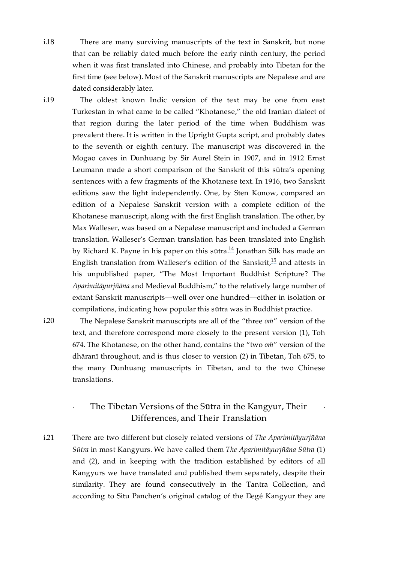<span id="page-12-1"></span>There are many surviving manuscripts of the text in Sanskrit, but none that can be reliably dated much before the early ninth century, the period when it was first translated into Chinese, and probably into Tibetan for the first time (see below). Most of the Sanskrit manuscripts are Nepalese and are dated considerably later. [i.18](#page-12-1)

<span id="page-12-2"></span>[i.19](#page-12-2)

The oldest known Indic version of the text may be one from east Turkestan in what came to be called "Khotanese," the old Iranian dialect of that region during the later period of the time when Buddhism was prevalent there. It is written in the Upright Gupta script, and probably dates to the seventh or eighth century. The manuscript was discovered in the Mogao caves in Dunhuang by Sir Aurel Stein in 1907, and in 1912 Ernst Leumann made a short comparison of the Sanskrit of this sūtra's opening sentences with a few fragments of the Khotanese text. In 1916, two Sanskrit editions saw the light independently. One, by Sten Konow, compared an edition of a Nepalese Sanskrit version with a complete edition of the Khotanese manuscript, along with the first English translation. The other, by Max Walleser, was based on a Nepalese manuscript and included a German translation. Walleser's German translation has been translated into English by Richard K. Payne in his paper on this sūtra.<sup>[14](#page-31-8)</sup> Jonathan Silk has made an English translation from Walleser's edition of the Sanskrit, $^{15}$  $^{15}$  $^{15}$  and attests in his unpublished paper, "The Most Important Buddhist Scripture? The *Aparimitāyurjñāna* and Medieval Buddhism," to the relatively large number of extant Sanskrit manuscripts—well over one hundred—either in isolation or compilations, indicating how popular this sūtra was in Buddhist practice.

<span id="page-12-3"></span>[i.20](#page-12-3)

<span id="page-12-5"></span>The Nepalese Sanskrit manuscripts are all of the "three *oṁ*" version of the text, and therefore correspond more closely to the present version (1), Toh 674. The Khotanese, on the other hand, contains the "two *oṁ*" version of the dhāranī throughout, and is thus closer to version (2) in Tibetan, Toh 675, to the many Dunhuang manuscripts in Tibetan, and to the two Chinese translations.

## · The Tibetan Versions of the Sūtra in the Kangyur, Their Differences, and Their Translation

<span id="page-12-6"></span>·

<span id="page-12-4"></span><span id="page-12-0"></span>There are two different but closely related versions of *The Aparimitāyurjñāna Sūtra* in most Kangyurs. We have called them *The Aparimitāyurjñāna Sūtra* (1) and (2), and in keeping with the tradition established by editors of all Kangyurs we have translated and published them separately, despite their similarity. They are found consecutively in the Tantra Collection, and according to Situ Panchen's original catalog of the Degé Kangyur they are [i.21](#page-12-4)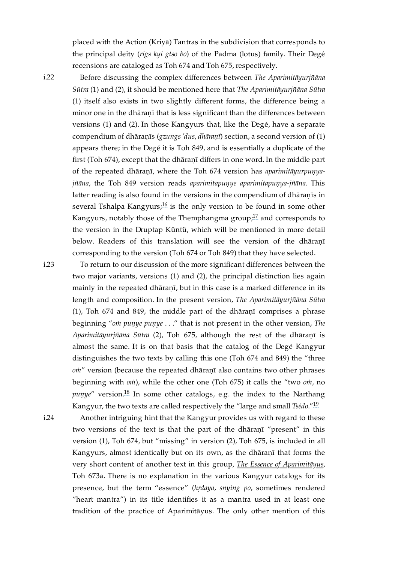placed with the Action (Kriyā) Tantras in the subdivision that corresponds to the principal deity (*rigs kyi gtso bo*) of the Padma (lotus) family. Their Degé recensions are cataloged as [Toh](https://read.84000.co/translation/toh675.html) 674 and Toh 675, respectively.

<span id="page-13-1"></span>[i.22](#page-13-1)

Before discussing the complex differences between *The Aparimitāyurjñāna Sūtra* (1) and (2), it should be mentioned here that *The Aparimitāyurjñāna Sūtra* (1) itself also exists in two slightly different forms, the difference being a minor one in the dhāraṇī that is less significant than the differences between versions (1) and (2). In those Kangyurs that, like the Degé, have a separate compendium of dhāraṇīs (*gzungs 'dus*, *dhāraṇī*) section, a second version of (1) appears there; in the Degé it is Toh 849, and is essentially a duplicate of the first (Toh 674), except that the dhāraṇī differs in one word. In the middle part of the repeated dhāraṇī, where the Toh 674 version has *aparimitāyurpuṇyajñāna*, the Toh 849 version reads *aparimitapuṇye aparimitapuṇya-jñāna*. This latter reading is also found in the versions in the compendium of dhāranīs in several Tshalpa Kangyurs; $^{16}$  $^{16}$  $^{16}$  is the only version to be found in some other Kangyurs, notably those of the Themphangma group; $^{17}$  $^{17}$  $^{17}$  and corresponds to the version in the Druptap Küntü, which will be mentioned in more detail below. Readers of this translation will see the version of the dhāraṇī corresponding to the version (Toh 674 or Toh 849) that they have selected.

<span id="page-13-2"></span>[i.23](#page-13-2)

<span id="page-13-4"></span><span id="page-13-3"></span>To return to our discussion of the more significant differences between the two major variants, versions (1) and (2), the principal distinction lies again mainly in the repeated dhāraṇī, but in this case is a marked difference in its length and composition. In the present version, *The Aparimitāyurjñāna Sūtra* (1), Toh 674 and 849, the middle part of the dhāraṇī comprises a phrase beginning "*oṁ puṇye puṇye* . . ." that is not present in the other version, *The Aparimitāyurjñāna Sūtra* (2), Toh 675, although the rest of the dhāraṇī is almost the same. It is on that basis that the catalog of the Degé Kangyur distinguishes the two texts by calling this one (Toh 674 and 849) the "three *oṁ*" version (because the repeated dhāraṇī also contains two other phrases beginning with *oṁ*), while the other one (Toh 675) it calls the "two *oṁ*, no puṇye" version.<sup>[18](#page-32-1)</sup> In some other catalogs, e.g. the index to the Narthang Kangyur, the two texts are called respectively the "large and small *Tsédo*." [19](#page-32-2)

<span id="page-13-6"></span><span id="page-13-5"></span><span id="page-13-0"></span>Another intriguing hint that the Kangyur provides us with regard to these two versions of the text is that the part of the dhāraṇī "present" in this version (1), Toh 674, but "missing" in version (2), Toh 675, is included in all Kangyurs, almost identically but on its own, as the dhāraṇī that forms the very short content of another text in this group, *The Essence of [Aparimitāyus](https://read.84000.co/translation/toh673a.html)*, Toh 673a. There is no explanation in the various Kangyur catalogs for its presence, but the term "essence" (*hṛdaya*, *snying po*, sometimes rendered "heart mantra") in its title identifies it as a mantra used in at least one tradition of the practice of Aparimitāyus. The only other mention of this [i.24](#page-13-0)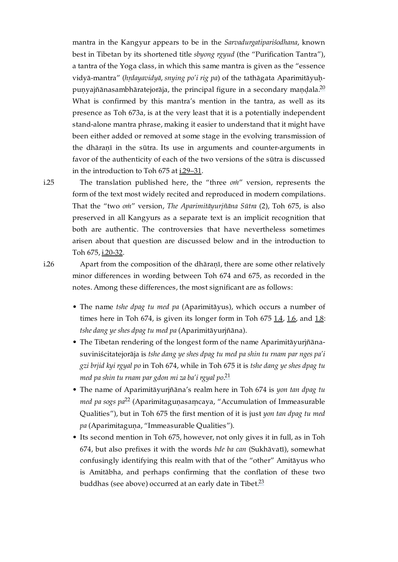<span id="page-14-2"></span>mantra in the Kangyur appears to be in the *Sarvadurgatipariśodhana*, known best in Tibetan by its shortened title *sbyong rgyud* (the "Purification Tantra"), a tantra of the Yoga class, in which this same mantra is given as the "essence vidyā-mantra" (*hṛdayavidyā*, *snying po'i rig pa*) of the tathāgata Aparimitāyuḥ-puṇyajñānasambhāratejorāja, the principal figure in a secondary maṇḍala.<sup>[20](#page-32-3)</sup> What is confirmed by this mantra's mention in the tantra, as well as its presence as Toh 673a, is at the very least that it is a potentially independent stand-alone mantra phrase, making it easier to understand that it might have been either added or removed at some stage in the evolving transmission of the dhāraṇī in the sūtra. Its use in arguments and counter-arguments in favor of the authenticity of each of the two versions of the sūtra is discussed in the introduction to Toh 675 at i.29-31.

<span id="page-14-0"></span>[i.25](#page-14-0)

The translation published here, the "three *oṁ*" version, represents the form of the text most widely recited and reproduced in modern compilations. That the "two *oṁ*" version, *The Aparimitāyurjñāna Sūtra* (2), Toh 675, is also preserved in all Kangyurs as a separate text is an implicit recognition that both are authentic. The controversies that have nevertheless sometimes arisen about that question are discussed below and in the introduction to Toh 675, [i.20-32.](https://read.84000.co/translation/toh675.html#UT22084-091-073-60)

<span id="page-14-1"></span>[i.26](#page-14-1)

Apart from the composition of the dhāraṇī, there are some other relatively minor differences in wording between Toh 674 and 675, as recorded in the notes. Among these differences, the most significant are as follows:

- The name *tshe dpag tu med pa* (Aparimitāyus), which occurs a number of times here in Toh  $674$ , is given its longer form in Toh  $675$   $1.4$ ,  $1.6$ , and  $1.8$ : *tshe dang ye shes dpag tu med pa* (Aparimitāyurjñāna).
- The Tibetan rendering of the longest form of the name Aparimitāyurjñānasuviniścitatejorāja is *tshe dang ye shes dpag tu med pa shin tu rnam par nges pa'i gzi brjid kyi rgyal po* in Toh 674, while in Toh 675 it is *tshe dang ye shes dpag tu med pa shin tu rnam par gdon mi za ba'i rgyal po*. [21](#page-32-4)
- <span id="page-14-4"></span><span id="page-14-3"></span>• The name of Aparimitāyurjñāna's realm here in Toh 674 is *yon tan dpag tu med pa sogs pa<sup>[22](#page-32-5)</sup>* (Aparimitaguṇasaṃcaya, "Accumulation of Immeasurable Qualities"), but in Toh 675 the first mention of it is just *yon tan dpag tu med* pa (Aparimitaguna, "Immeasurable Qualities").
- <span id="page-14-5"></span>• Its second mention in Toh 675, however, not only gives it in full, as in Toh 674, but also prefixes it with the words *bde ba can* (Sukhāvatī), somewhat confusingly identifying this realm with that of the "other" Amitāyus who is Amitābha, and perhaps confirming that the conflation of these two buddhas (see above) occurred at an early date in Tibet.<sup>[23](#page-32-6)</sup>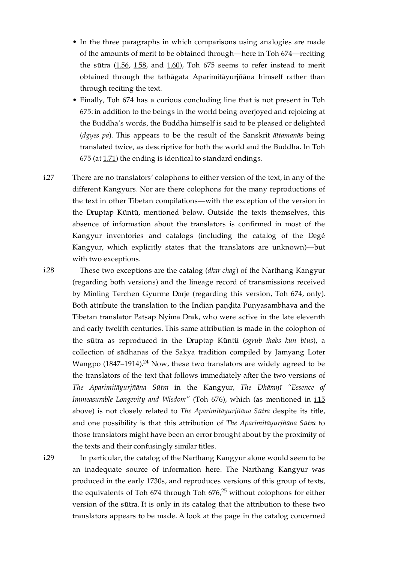- In the three paragraphs in which comparisons using analogies are made of the amounts of merit to be obtained through—here in Toh 674—reciting the sūtra ([1.56,](#page-28-0) [1.58,](#page-28-1) and [1.60\)](#page-28-2), Toh 675 seems to refer instead to merit obtained through the tathāgata Aparimitāyurjñāna himself rather than through reciting the text.
- Finally, Toh 674 has a curious concluding line that is not present in Toh 675: in addition to the beings in the world being overjoyed and rejoicing at the Buddha's words, the Buddha himself is said to be pleased or delighted (*dgyes pa*). This appears to be the result of the Sanskrit *āttamanās* being translated twice, as descriptive for both the world and the Buddha. In Toh 675 (at [1.71](https://read.84000.co/translation/toh675.html#UT22084-091-073-190)) the ending is identical to standard endings.
- <span id="page-15-0"></span>There are no translators' colophons to either version of the text, in any of the different Kangyurs. Nor are there colophons for the many reproductions of the text in other Tibetan compilations—with the exception of the version in the Druptap Küntü, mentioned below. Outside the texts themselves, this absence of information about the translators is confirmed in most of the Kangyur inventories and catalogs (including the catalog of the Degé Kangyur, which explicitly states that the translators are unknown)—but with two exceptions. [i.27](#page-15-0)

<span id="page-15-1"></span>[i.28](#page-15-1)

<span id="page-15-3"></span>These two exceptions are the catalog (*dkar chag*) of the Narthang Kangyur (regarding both versions) and the lineage record of transmissions received by Minling Terchen Gyurme Dorje (regarding this version, Toh 674, only). Both attribute the translation to the Indian pandita Punyasambhava and the Tibetan translator Patsap Nyima Drak, who were active in the late eleventh and early twelfth centuries. This same attribution is made in the colophon of the sūtra as reproduced in the Druptap Küntü (*sgrub thabs kun btus*), a collection of sādhanas of the Sakya tradition compiled by Jamyang Loter Wangpo (1847–1914). $^{24}$  $^{24}$  $^{24}$  Now, these two translators are widely agreed to be the translators of the text that follows immediately after the two versions of *The Aparimitāyurjñāna Sūtra* in the Kangyur, *The Dhāraṇī "Essence of Immeasurable Longevity and Wisdom"* (Toh 676), which (as mentioned in [i.15](#page-11-1) above) is not closely related to *The Aparimitāyurjñāna Sūtra* despite its title, and one possibility is that this attribution of *The Aparimitāyurjñāna Sūtra* to those translators might have been an error brought about by the proximity of the texts and their confusingly similar titles.

<span id="page-15-2"></span>[i.29](#page-15-2)

<span id="page-15-4"></span>In particular, the catalog of the Narthang Kangyur alone would seem to be an inadequate source of information here. The Narthang Kangyur was produced in the early 1730s, and reproduces versions of this group of texts, the equivalents of Toh 674 through Toh 676, $^{25}$  $^{25}$  $^{25}$  without colophons for either version of the sūtra. It is only in its catalog that the attribution to these two translators appears to be made. A look at the page in the catalog concerned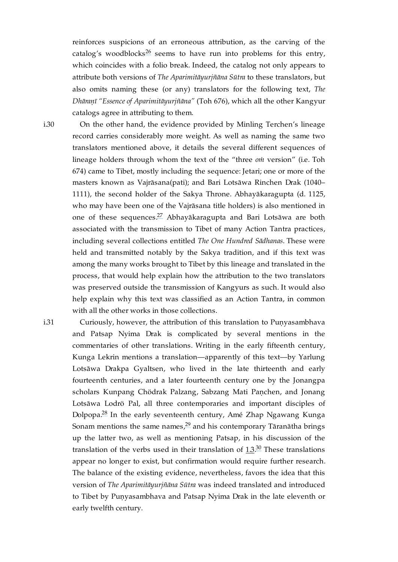<span id="page-16-2"></span>reinforces suspicions of an erroneous attribution, as the carving of the catalog's woodblocks<sup>[26](#page-32-9)</sup> seems to have run into problems for this entry, which coincides with a folio break. Indeed, the catalog not only appears to attribute both versions of *The Aparimitāyurjñāna Sūtra* to these translators, but also omits naming these (or any) translators for the following text, *The Dhāraṇī "Essence of Aparimitāyurjñāna"* (Toh 676), which all the other Kangyur catalogs agree in attributing to them.

<span id="page-16-0"></span>[i.30](#page-16-0)

<span id="page-16-3"></span>On the other hand, the evidence provided by Minling Terchen's lineage record carries considerably more weight. As well as naming the same two translators mentioned above, it details the several different sequences of lineage holders through whom the text of the "three *oṁ* version" (i.e. Toh 674) came to Tibet, mostly including the sequence: Jetari; one or more of the masters known as Vajrāsana(pati); and Bari Lotsāwa Rinchen Drak (1040– 1111), the second holder of the Sakya Throne. Abhayākaragupta (d. 1125, who may have been one of the Vajrāsana title holders) is also mentioned in one of these sequences.<sup>[27](#page-32-10)</sup> Abhayākaragupta and Bari Lotsāwa are both associated with the transmission to Tibet of many Action Tantra practices, including several collections entitled *The One Hundred Sādhanas*. These were held and transmitted notably by the Sakya tradition, and if this text was among the many works brought to Tibet by this lineage and translated in the process, that would help explain how the attribution to the two translators was preserved outside the transmission of Kangyurs as such. It would also help explain why this text was classified as an Action Tantra, in common with all the other works in those collections.

<span id="page-16-1"></span>[i.31](#page-16-1)

<span id="page-16-6"></span><span id="page-16-5"></span><span id="page-16-4"></span>Curiously, however, the attribution of this translation to Puṇyasambhava and Patsap Nyima Drak is complicated by several mentions in the commentaries of other translations. Writing in the early fifteenth century, Kunga Lekrin mentions a translation—apparently of this text—by Yarlung Lotsāwa Drakpa Gyaltsen, who lived in the late thirteenth and early fourteenth centuries, and a later fourteenth century one by the Jonangpa scholars Kunpang Chödrak Palzang, Sabzang Mati Paṇchen, and Jonang Lotsāwa Lodrö Pal, all three contemporaries and important disciples of Dolpopa.<sup>[28](#page-32-11)</sup> In the early seventeenth century, Amé Zhap Ngawang Kunga Sonam mentions the same names, $^{29}$  $^{29}$  $^{29}$  and his contemporary Tāranātha brings up the latter two, as well as mentioning Patsap, in his discussion of the translation of the verbs used in their translation of  $1.3<sup>30</sup>$  $1.3<sup>30</sup>$  $1.3<sup>30</sup>$  These translations appear no longer to exist, but confirmation would require further research. The balance of the existing evidence, nevertheless, favors the idea that this version of *The Aparimitāyurjñāna Sūtra* was indeed translated and introduced to Tibet by Puṇyasambhava and Patsap Nyima Drak in the late eleventh or early twelfth century.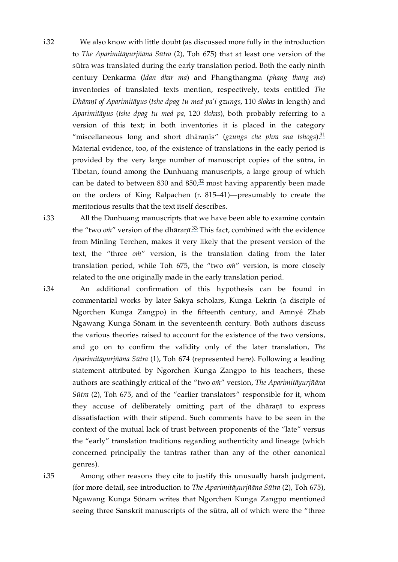- <span id="page-17-0"></span>We also know with little doubt (as discussed more fully in the introduction to *The Aparimitāyurjñāna Sūtra* (2), Toh 675) that at least one version of the sūtra was translated during the early translation period. Both the early ninth century Denkarma (*ldan dkar ma*) and Phangthangma (*phang thang ma*) inventories of translated texts mention, respectively, texts entitled *The Dhāraṇī of Aparimitāyus* (*tshe dpag tu med pa'i gzungs*, 110 *ślokas* in length) and *Aparimitāyus* (*tshe dpag tu med pa*, 120 *ślokas*), both probably referring to a version of this text; in both inventories it is placed in the category "miscellaneous long and short dhāraṇīs" (*gzungs che phra sna tshogs*). [31](#page-32-14) Material evidence, too, of the existence of translations in the early period is provided by the very large number of manuscript copies of the sūtra, in Tibetan, found among the Dunhuang manuscripts, a large group of which can be dated to between 830 and 850, $32$  most having apparently been made on the orders of King Ralpachen (r. 815–41)—presumably to create the meritorious results that the text itself describes. [i.32](#page-17-0)
- <span id="page-17-1"></span>[i.33](#page-17-1)

<span id="page-17-6"></span><span id="page-17-5"></span><span id="page-17-4"></span>All the Dunhuang manuscripts that we have been able to examine contain the "two *oni*" version of the dhāraṇī.<sup>[33](#page-32-16)</sup> This fact, combined with the evidence from Minling Terchen, makes it very likely that the present version of the text, the "three *oṁ*" version, is the translation dating from the later translation period, while Toh 675, the "two *oṁ*" version, is more closely related to the one originally made in the early translation period.

<span id="page-17-2"></span>An additional confirmation of this hypothesis can be found in commentarial works by later Sakya scholars, Kunga Lekrin (a disciple of Ngorchen Kunga Zangpo) in the fifteenth century, and Amnyé Zhab Ngawang Kunga Sönam in the seventeenth century. Both authors discuss the various theories raised to account for the existence of the two versions, and go on to confirm the validity only of the later translation, *The Aparimitāyurjñāna Sūtra* (1), Toh 674 (represented here). Following a leading statement attributed by Ngorchen Kunga Zangpo to his teachers, these authors are scathingly critical of the "two *oṁ*" version, *The Aparimitāyurjñāna Sūtra* (2), Toh 675, and of the "earlier translators" responsible for it, whom they accuse of deliberately omitting part of the dhāranī to express dissatisfaction with their stipend. Such comments have to be seen in the context of the mutual lack of trust between proponents of the "late" versus the "early" translation traditions regarding authenticity and lineage (which concerned principally the tantras rather than any of the other canonical genres).

<span id="page-17-3"></span>[i.35](#page-17-3)

Among other reasons they cite to justify this unusually harsh judgment, (for more detail, see introduction to *The Aparimitāyurjñāna Sūtra* (2), Toh 675), Ngawang Kunga Sönam writes that Ngorchen Kunga Zangpo mentioned seeing three Sanskrit manuscripts of the sūtra, all of which were the "three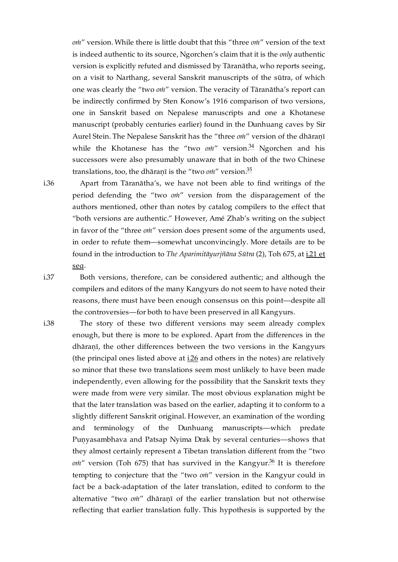*oṁ*" version. While there is little doubt that this "three *oṁ*" version of the text is indeed authentic to its source, Ngorchen's claim that it is the *only* authentic version is explicitly refuted and dismissed by Tāranātha, who reports seeing, on a visit to Narthang, several Sanskrit manuscripts of the sūtra, of which one was clearly the "two *oṁ*" version. The veracity of Tāranātha's report can be indirectly confirmed by Sten Konow's 1916 comparison of two versions, one in Sanskrit based on Nepalese manuscripts and one a Khotanese manuscript (probably centuries earlier) found in the Dunhuang caves by Sir Aurel Stein. The Nepalese Sanskrit has the "three *oṁ*" version of the dhāraṇī while the Khotanese has the "two *on*i" version.<sup>[34](#page-33-0)</sup> Ngorchen and his successors were also presumably unaware that in both of the two Chinese translations, too, the dhāraṇī is the "two *oṁ*" version. [35](#page-33-1)

<span id="page-18-4"></span><span id="page-18-3"></span>Apart from Tāranātha's, we have not been able to find writings of the period defending the "two *oṁ*" version from the disparagement of the authors mentioned, other than notes by catalog compilers to the effect that "both versions are authentic." However, Amé Zhab's writing on the subject in favor of the "three *oṁ*" version does present some of the arguments used, in order to refute them—somewhat unconvincingly. More details are to be found in the introduction to *The [Aparimitāyurjñāna](https://read.84000.co/translation/toh675.html#UT22084-091-073-61) Sūtra* (2), Toh 675, at i.21 et seq.

<span id="page-18-1"></span>Both versions, therefore, can be considered authentic; and although the compilers and editors of the many Kangyurs do not seem to have noted their reasons, there must have been enough consensus on this point—despite all the controversies—for both to have been preserved in all Kangyurs.

<span id="page-18-5"></span>The story of these two different versions may seem already complex enough, but there is more to be explored. Apart from the differences in the dhāraṇī, the other differences between the two versions in the Kangyurs (the principal ones listed above at  $i$   $26$  and others in the notes) are relatively so minor that these two translations seem most unlikely to have been made independently, even allowing for the possibility that the Sanskrit texts they were made from were very similar. The most obvious explanation might be that the later translation was based on the earlier, adapting it to conform to a slightly different Sanskrit original. However, an examination of the wording and terminology of the Dunhuang manuscripts—which predate Puṇyasambhava and Patsap Nyima Drak by several centuries—shows that they almost certainly represent a Tibetan translation different from the "two om'' version (Toh 675) that has survived in the Kangyur.<sup>[36](#page-33-2)</sup> It is therefore tempting to conjecture that the "two *oṁ*" version in the Kangyur could in fact be a back-adaptation of the later translation, edited to conform to the alternative "two *oṁ*" dhāraṇī of the earlier translation but not otherwise reflecting that earlier translation fully. This hypothesis is supported by the

<span id="page-18-0"></span>[i.36](#page-18-0)

<span id="page-18-2"></span>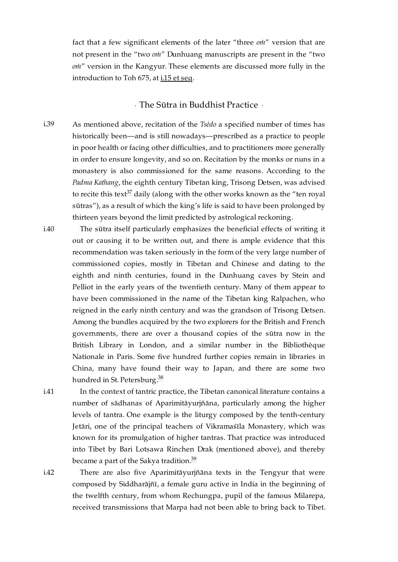fact that a few significant elements of the later "three *oṁ*" version that are not present in the "two *oṁ*" Dunhuang manuscripts are present in the "two *oṁ*" version in the Kangyur. These elements are discussed more fully in the introduction to Toh 675, at i.15 et [seq](https://read.84000.co/translation/toh675.html#UT22084-091-073-49).

### <span id="page-19-5"></span>· The Sūtra in Buddhist Practice ·

- <span id="page-19-1"></span><span id="page-19-0"></span>As mentioned above, recitation of the *Tsédo* a specified number of times has historically been—and is still nowadays—prescribed as a practice to people in poor health or facing other difficulties, and to practitioners more generally in order to ensure longevity, and so on. Recitation by the monks or nuns in a monastery is also commissioned for the same reasons. According to the *Padma Kathang*, the eighth century Tibetan king, Trisong Detsen, was advised to recite this text $^{37}$  $^{37}$  $^{37}$  daily (along with the other works known as the "ten royal sūtras"), as a result of which the king's life is said to have been prolonged by thirteen years beyond the limit predicted by astrological reckoning. [i.39](#page-19-1)
- <span id="page-19-2"></span>The sūtra itself particularly emphasizes the beneficial effects of writing it out or causing it to be written out, and there is ample evidence that this recommendation was taken seriously in the form of the very large number of commissioned copies, mostly in Tibetan and Chinese and dating to the eighth and ninth centuries, found in the Dunhuang caves by Stein and Pelliot in the early years of the twentieth century. Many of them appear to have been commissioned in the name of the Tibetan king Ralpachen, who reigned in the early ninth century and was the grandson of Trisong Detsen. Among the bundles acquired by the two explorers for the British and French governments, there are over a thousand copies of the sūtra now in the British Library in London, and a similar number in the Bibliothèque Nationale in Paris. Some five hundred further copies remain in libraries in China, many have found their way to Japan, and there are some two hundred in St. Petersburg.<sup>[38](#page-33-4)</sup> [i.40](#page-19-2)

<span id="page-19-3"></span>[i.41](#page-19-3)

<span id="page-19-4"></span>[i.42](#page-19-4)

<span id="page-19-6"></span>In the context of tantric practice, the Tibetan canonical literature contains a number of sādhanas of Aparimitāyurjñāna, particularly among the higher levels of tantra. One example is the liturgy composed by the tenth-century Jetāri, one of the principal teachers of Vikramaśīla Monastery, which was known for its promulgation of higher tantras. That practice was introduced into Tibet by Bari Lotsawa Rinchen Drak (mentioned above), and thereby became a part of the Sakya tradition.<sup>[39](#page-33-5)</sup>

<span id="page-19-7"></span>There are also five Aparimitāyurjñāna texts in the Tengyur that were composed by Siddharājñī, a female guru active in India in the beginning of the twelfth century, from whom Rechungpa, pupil of the famous Milarepa, received transmissions that Marpa had not been able to bring back to Tibet.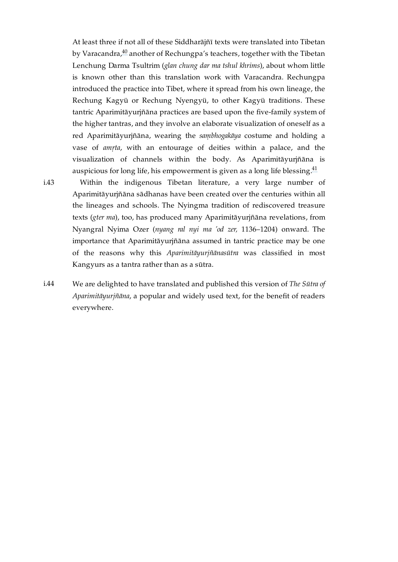<span id="page-20-2"></span>At least three if not all of these Siddharājñī texts were translated into Tibetan by Varacandra, $^{40}$  $^{40}$  $^{40}$  another of Rechungpa's teachers, together with the Tibetan Lenchung Darma Tsultrim (*glan chung dar ma tshul khrims*), about whom little is known other than this translation work with Varacandra. Rechungpa introduced the practice into Tibet, where it spread from his own lineage, the Rechung Kagyü or Rechung Nyengyü, to other Kagyü traditions. These tantric Aparimitāyurjñāna practices are based upon the five-family system of the higher tantras, and they involve an elaborate visualization of oneself as a red Aparimitāyurjñāna, wearing the *saṃbhogakāya* costume and holding a vase of *amṛta*, with an entourage of deities within a palace, and the visualization of channels within the body. As Aparimitāyurjñāna is auspicious for long life, his empowerment is given as a long life blessing. $^\mathrm{41}$  $^\mathrm{41}$  $^\mathrm{41}$ 

<span id="page-20-3"></span><span id="page-20-0"></span>Within the indigenous Tibetan literature, a very large number of Aparimitāyurjñāna sādhanas have been created over the centuries within all the lineages and schools. The Nyingma tradition of rediscovered treasure texts (*gter ma*), too, has produced many Aparimitāyurjñāna revelations, from Nyangral Nyima Ozer (*nyang ral nyi ma 'od zer,* 1136–1204) onward. The importance that Aparimitāyurjñāna assumed in tantric practice may be one of the reasons why this *Aparimitāyurjñānasūtra* was classified in most Kangyurs as a tantra rather than as a sūtra. [i.43](#page-20-0)

<span id="page-20-1"></span>We are delighted to have translated and published this version of *The Sūtra of Aparimitāyurjñāna*, a popular and widely used text, for the benefit of readers everywhere. [i.44](#page-20-1)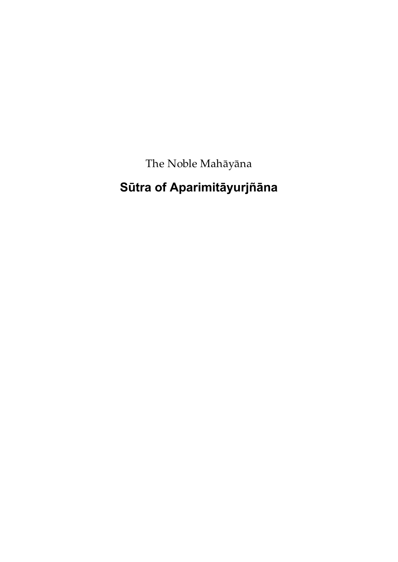The Noble Mahāyāna

# <span id="page-21-0"></span>**Sūtra of Aparimitāyurjñāna**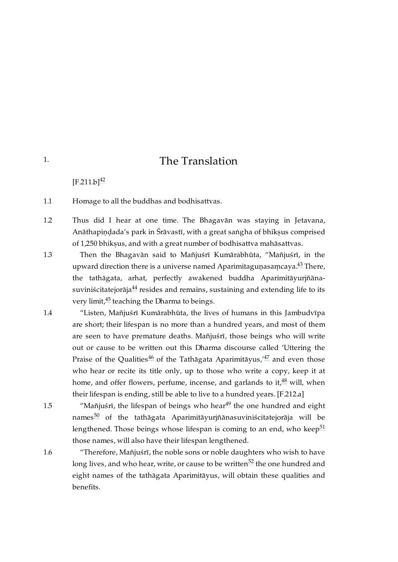# <span id="page-22-8"></span>The Translation

<span id="page-22-7"></span> $[F.211.b]^{42}$  $[F.211.b]^{42}$  $[F.211.b]^{42}$  $[F.211.b]^{42}$ 

<span id="page-22-2"></span>Homage to all the buddhas and bodhisattvas. [1.1](#page-22-2)

<span id="page-22-3"></span>Thus did I hear at one time. The Bhagavān was staying in Jetavana, Anāthapindada's park in Śrāvastī, with a great saṅgha of bhiksus comprised of 1,250 bhiksus, and with a great number of bodhisattva mahāsattvas. [1.2](#page-22-3)

- <span id="page-22-1"></span>Then the Bhagavān said to Mañjuśrī Kumārabhūta, "Mañjuśrī, in the upward direction there is a universe named Aparimitaguṇasaṃcaya.<sup>[43](#page-34-3)</sup> There, the tathāgata, arhat, perfectly awakened buddha Aparimitāyurjñānasuviniścitatejorāja $^{44}$  $^{44}$  $^{44}$  resides and remains, sustaining and extending life to its very limit,<sup>[45](#page-34-5)</sup> teaching the Dharma to beings. [1.3](#page-22-1)
- <span id="page-22-11"></span><span id="page-22-10"></span><span id="page-22-9"></span><span id="page-22-4"></span>"Listen, Mañjuśrī Kumārabhūta, the lives of humans in this Jambudvīpa are short; their lifespan is no more than a hundred years, and most of them are seen to have premature deaths. Mañjuśrī, those beings who will write out or cause to be written out this Dharma discourse called 'Uttering the Praise of the Qualities $^{46}$  $^{46}$  $^{46}$  of the Tathāgata Aparimitāyus, $^{47}$  $^{47}$  $^{47}$  and even those who hear or recite its title only, up to those who write a copy, keep it at home, and offer flowers, perfume, incense, and garlands to it,  $48$  will, when their lifespan is ending, still be able to live to a hundred years. [\[F.212.a\]](https://translator:gzungs@read.84000-translate.org/source/toh674.html?ref-index=2#ajax-source) [1.4](#page-22-4)
	- "Mañjuśrī, the lifespan of beings who hear $49$  the one hundred and eight names<sup>[50](#page-36-0)</sup> of the tathāgata Aparimitāyurjñānasuviniścitatejorāja will be lengthened. Those beings whose lifespan is coming to an end, who keep $^{51}$  $^{51}$  $^{51}$ those names, will also have their lifespan lengthened.

<span id="page-22-6"></span>[1.6](#page-22-6)

<span id="page-22-5"></span>[1.5](#page-22-5)

<span id="page-22-17"></span><span id="page-22-16"></span><span id="page-22-15"></span><span id="page-22-14"></span><span id="page-22-13"></span><span id="page-22-12"></span>"Therefore, Mañjuśrī, the noble sons or noble daughters who wish to have long lives, and who hear, write, or cause to be written $^\mathrm{52}$  $^\mathrm{52}$  $^\mathrm{52}$  the one hundred and eight names of the tathāgata Aparimitāyus, will obtain these qualities and benefits.

<span id="page-22-0"></span>[1.](#page-22-0)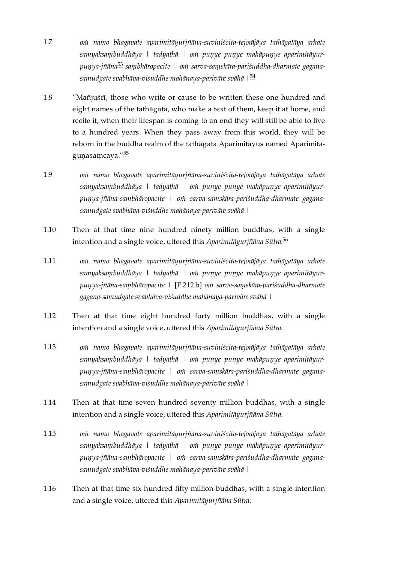- <span id="page-23-10"></span><span id="page-23-0"></span>*oṁ namo bhagavate aparimitāyurjñāna-suviniścita-tejorājāya tathāgatāya arhate samyaksaṃbuddhāya | tadyathā | oṁ puṇye puṇye mahāpuṇye aparimitāyurpuṇya-jñāna saṃbhāropacite | oṁ sarva-saṃskāra-pariśuddha-dharmate gagana-*[53](#page-36-3) *samudgate svabhāva-viśuddhe mahānaya-parivāre svāhā |* [54](#page-37-0) [1.7](#page-23-0)
- <span id="page-23-11"></span><span id="page-23-1"></span>"Mañjuśrī, those who write or cause to be written these one hundred and eight names of the tathāgata, who make a text of them, keep it at home, and recite it, when their lifespan is coming to an end they will still be able to live to a hundred years. When they pass away from this world, they will be reborn in the buddha realm of the tathāgata Aparimitāyus named Aparimitaguṇasaṃcaya." $^{\rm 55}$  $^{\rm 55}$  $^{\rm 55}$ [1.8](#page-23-1)
- <span id="page-23-12"></span><span id="page-23-2"></span>*oṁ namo bhagavate aparimitāyurjñāna-suviniścita-tejorājāya tathāgatāya arhate samyaksaṃbuddhāya | tadyathā | oṁ puṇye puṇye mahāpuṇye aparimitāyurpuṇya-jñāna-saṃbhāropacite | oṁ sarva-saṃskāra-pariśuddha-dharmate gaganasamudgate svabhāva-viśuddhe mahānaya-parivāre svāhā |* [1.9](#page-23-2)
- <span id="page-23-13"></span><span id="page-23-3"></span>Then at that time nine hundred ninety million buddhas, with a single intention and a single voice, uttered this *Aparimitāyurjñāna Sūtra*. [56](#page-37-2) [1.10](#page-23-3)
- <span id="page-23-4"></span>*oṁ namo bhagavate aparimitāyurjñāna-suviniścita-tejorājāya tathāgatāya arhate samyaksaṃbuddhāya | tadyathā | oṁ puṇye puṇye mahāpuṇye aparimitāyurpuṇya-jñāna-saṃbhāropacite |* [\[F.212.b\]](https://translator:gzungs@read.84000-translate.org/source/toh674.html?ref-index=3#ajax-source) *oṁ sarva-saṃskāra-pariśuddha-dharmate gagana-samudgate svabhāva-viśuddhe mahānaya-parivāre svāhā |* [1.11](#page-23-4)
- <span id="page-23-5"></span>Then at that time eight hundred forty million buddhas, with a single intention and a single voice, uttered this *Aparimitāyurjñāna Sūtra*. [1.12](#page-23-5)
- <span id="page-23-6"></span>*oṁ namo bhagavate aparimitāyurjñāna-suviniścita-tejorājāya tathāgatāya arhate samyaksaṃbuddhāya | tadyathā | oṁ puṇye puṇye mahāpuṇye aparimitāyurpuṇya-jñāna-saṃbhāropacite | oṁ sarva-saṃskāra-pariśuddha-dharmate gaganasamudgate svabhāva-viśuddhe mahānaya-parivāre svāhā |* [1.13](#page-23-6)
- <span id="page-23-7"></span>Then at that time seven hundred seventy million buddhas, with a single intention and a single voice, uttered this *Aparimitāyurjñāna Sūtra*. [1.14](#page-23-7)
- <span id="page-23-8"></span>*oṁ namo bhagavate aparimitāyurjñāna-suviniścita-tejorājāya tathāgatāya arhate samyaksaṃbuddhāya | tadyathā | oṁ puṇye puṇye mahāpuṇye aparimitāyurpuṇya-jñāna-saṃbhāropacite | oṁ sarva-saṃskāra-pariśuddha-dharmate gaganasamudgate svabhāva-viśuddhe mahānaya-parivāre svāhā |* [1.15](#page-23-8)
- <span id="page-23-9"></span>Then at that time six hundred fifty million buddhas, with a single intention and a single voice, uttered this *Aparimitāyurjñāna Sūtra*. [1.16](#page-23-9)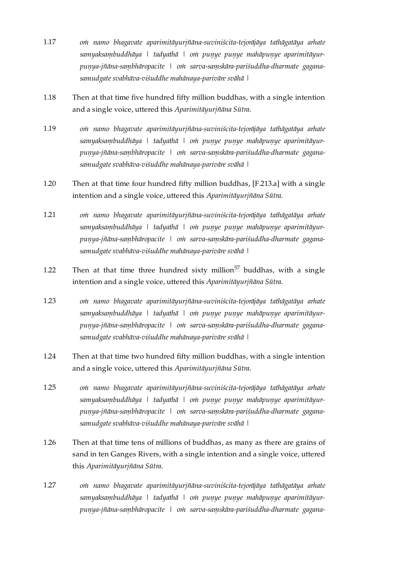- <span id="page-24-0"></span>*oṁ namo bhagavate aparimitāyurjñāna-suviniścita-tejorājāya tathāgatāya arhate samyaksaṃbuddhāya | tadyathā | oṁ puṇye puṇye mahāpuṇye aparimitāyurpuṇya-jñāna-saṃbhāropacite | oṁ sarva-saṃskāra-pariśuddha-dharmate gaganasamudgate svabhāva-viśuddhe mahānaya-parivāre svāhā |* [1.17](#page-24-0)
- <span id="page-24-1"></span>Then at that time five hundred fifty million buddhas, with a single intention and a single voice, uttered this *Aparimitāyurjñāna Sūtra*. [1.18](#page-24-1)
- <span id="page-24-2"></span>*oṁ namo bhagavate aparimitāyurjñāna-suviniścita-tejorājāya tathāgatāya arhate samyaksaṃbuddhāya | tadyathā | oṁ puṇye puṇye mahāpuṇye aparimitāyurpuṇya-jñāna-saṃbhāropacite | oṁ sarva-saṃskāra-pariśuddha-dharmate gaganasamudgate svabhāva-viśuddhe mahānaya-parivāre svāhā |* [1.19](#page-24-2)
- <span id="page-24-3"></span>Then at that time four hundred fifty million buddhas, [\[F.213.a\]](https://translator:gzungs@read.84000-translate.org/source/toh674.html?ref-index=4#ajax-source) with a single intention and a single voice, uttered this *Aparimitāyurjñāna Sūtra*. [1.20](#page-24-3)
- <span id="page-24-4"></span>*oṁ namo bhagavate aparimitāyurjñāna-suviniścita-tejorājāya tathāgatāya arhate samyaksaṃbuddhāya | tadyathā | oṁ puṇye puṇye mahāpuṇye aparimitāyurpuṇya-jñāna-saṃbhāropacite | oṁ sarva-saṃskāra-pariśuddha-dharmate gaganasamudgate svabhāva-viśuddhe mahānaya-parivāre svāhā |* [1.21](#page-24-4)
- <span id="page-24-11"></span><span id="page-24-5"></span>Then at that time three hundred sixty million $57$  buddhas, with a single intention and a single voice, uttered this *Aparimitāyurjñāna Sūtra*. [1.22](#page-24-5)
- <span id="page-24-6"></span>*oṁ namo bhagavate aparimitāyurjñāna-suviniścita-tejorājāya tathāgatāya arhate samyaksaṃbuddhāya | tadyathā | oṁ puṇye puṇye mahāpuṇye aparimitāyurpuṇya-jñāna-saṃbhāropacite | oṁ sarva-saṃskāra-pariśuddha-dharmate gaganasamudgate svabhāva-viśuddhe mahānaya-parivāre svāhā |* [1.23](#page-24-6)
- <span id="page-24-7"></span>Then at that time two hundred fifty million buddhas, with a single intention and a single voice, uttered this *Aparimitāyurjñāna Sūtra*. [1.24](#page-24-7)
- <span id="page-24-8"></span>*oṁ namo bhagavate aparimitāyurjñāna-suviniścita-tejorājāya tathāgatāya arhate samyaksaṃbuddhāya | tadyathā | oṁ puṇye puṇye mahāpuṇye aparimitāyurpuṇya-jñāna-saṃbhāropacite | oṁ sarva-saṃskāra-pariśuddha-dharmate gaganasamudgate svabhāva-viśuddhe mahānaya-parivāre svāhā |* [1.25](#page-24-8)
- <span id="page-24-9"></span>Then at that time tens of millions of buddhas, as many as there are grains of sand in ten Ganges Rivers, with a single intention and a single voice, uttered this *Aparimitāyurjñāna Sūtra*. [1.26](#page-24-9)
- <span id="page-24-10"></span>*oṁ namo bhagavate aparimitāyurjñāna-suviniścita-tejorājāya tathāgatāya arhate samyaksaṃbuddhāya | tadyathā | oṁ puṇye puṇye mahāpuṇye aparimitāyurpuṇya-jñāna-saṃbhāropacite | oṁ sarva-saṃskāra-pariśuddha-dharmate gagana-*[1.27](#page-24-10)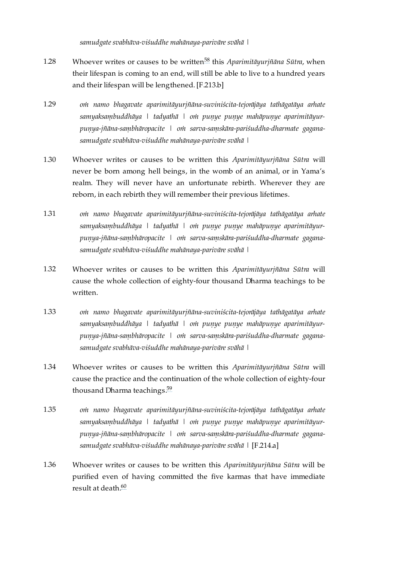<span id="page-25-9"></span>*samudgate svabhāva-viśuddhe mahānaya-parivāre svāhā |*

- <span id="page-25-0"></span>Whoever writes or causes to be written<sup>[58](#page-37-4)</sup> this *Aparimitāyurjñāna Sūtra,* when their lifespan is coming to an end, will still be able to live to a hundred years and their lifespan will be lengthened. [\[F.213.b\]](https://translator:gzungs@read.84000-translate.org/source/toh674.html?ref-index=5#ajax-source) [1.28](#page-25-0)
- <span id="page-25-1"></span>*oṁ namo bhagavate aparimitāyurjñāna-suviniścita-tejorājāya tathāgatāya arhate samyaksaṃbuddhāya | tadyathā | oṁ puṇye puṇye mahāpuṇye aparimitāyurpuṇya-jñāna-saṃbhāropacite | oṁ sarva-saṃskāra-pariśuddha-dharmate gaganasamudgate svabhāva-viśuddhe mahānaya-parivāre svāhā |* [1.29](#page-25-1)
- <span id="page-25-2"></span>Whoever writes or causes to be written this *Aparimitāyurjñāna Sūtra* will never be born among hell beings, in the womb of an animal, or in Yama's realm. They will never have an unfortunate rebirth. Wherever they are reborn, in each rebirth they will remember their previous lifetimes. [1.30](#page-25-2)
- <span id="page-25-3"></span>*oṁ namo bhagavate aparimitāyurjñāna-suviniścita-tejorājāya tathāgatāya arhate samyaksaṃbuddhāya | tadyathā | oṁ puṇye puṇye mahāpuṇye aparimitāyurpuṇya-jñāna-saṃbhāropacite | oṁ sarva-saṃskāra-pariśuddha-dharmate gaganasamudgate svabhāva-viśuddhe mahānaya-parivāre svāhā |* [1.31](#page-25-3)
- <span id="page-25-4"></span>Whoever writes or causes to be written this *Aparimitāyurjñāna Sūtra* will cause the whole collection of eighty-four thousand Dharma teachings to be written. [1.32](#page-25-4)
- <span id="page-25-5"></span>*oṁ namo bhagavate aparimitāyurjñāna-suviniścita-tejorājāya tathāgatāya arhate samyaksaṃbuddhāya | tadyathā | oṁ puṇye puṇye mahāpuṇye aparimitāyurpuṇya-jñāna-saṃbhāropacite | oṁ sarva-saṃskāra-pariśuddha-dharmate gaganasamudgate svabhāva-viśuddhe mahānaya-parivāre svāhā |* [1.33](#page-25-5)
- <span id="page-25-10"></span><span id="page-25-6"></span>Whoever writes or causes to be written this *Aparimitāyurjñāna Sūtra* will cause the practice and the continuation of the whole collection of eighty-four thousand Dharma teachings.<sup>[59](#page-37-5)</sup> [1.34](#page-25-6)
- <span id="page-25-7"></span>*oṁ namo bhagavate aparimitāyurjñāna-suviniścita-tejorājāya tathāgatāya arhate samyaksaṃbuddhāya | tadyathā | oṁ puṇye puṇye mahāpuṇye aparimitāyurpuṇya-jñāna-saṃbhāropacite | oṁ sarva-saṃskāra-pariśuddha-dharmate gaganasamudgate svabhāva-viśuddhe mahānaya-parivāre svāhā |* [\[F.214.a\]](https://translator:gzungs@read.84000-translate.org/source/toh674.html?ref-index=6#ajax-source) [1.35](#page-25-7)
- <span id="page-25-11"></span><span id="page-25-8"></span>Whoever writes or causes to be written this *Aparimitāyurjñāna Sūtra* will be purified even of having committed the five karmas that have immediate result at death. [60](#page-37-6) [1.36](#page-25-8)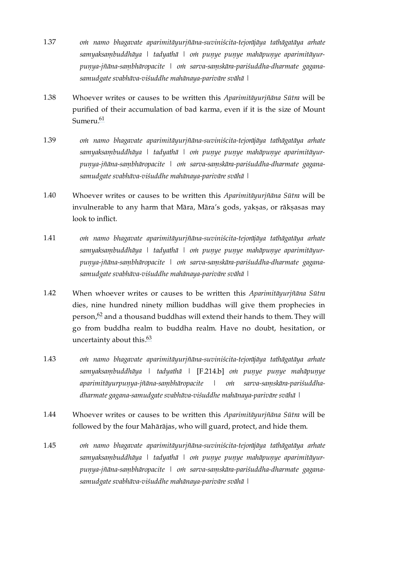- <span id="page-26-0"></span>*oṁ namo bhagavate aparimitāyurjñāna-suviniścita-tejorājāya tathāgatāya arhate samyaksaṃbuddhāya | tadyathā | oṁ puṇye puṇye mahāpuṇye aparimitāyurpuṇya-jñāna-saṃbhāropacite | oṁ sarva-saṃskāra-pariśuddha-dharmate gaganasamudgate svabhāva-viśuddhe mahānaya-parivāre svāhā |* [1.37](#page-26-0)
- <span id="page-26-1"></span>Whoever writes or causes to be written this *Aparimitāyurjñāna Sūtra* will be purified of their accumulation of bad karma, even if it is the size of Mount Sumeru.<sup>[61](#page-38-0)</sup> [1.38](#page-26-1)
- <span id="page-26-9"></span><span id="page-26-2"></span>*oṁ namo bhagavate aparimitāyurjñāna-suviniścita-tejorājāya tathāgatāya arhate samyaksaṃbuddhāya | tadyathā | oṁ puṇye puṇye mahāpuṇye aparimitāyurpuṇya-jñāna-saṃbhāropacite | oṁ sarva-saṃskāra-pariśuddha-dharmate gaganasamudgate svabhāva-viśuddhe mahānaya-parivāre svāhā |* [1.39](#page-26-2)
- <span id="page-26-3"></span>Whoever writes or causes to be written this *Aparimitāyurjñāna Sūtra* will be invulnerable to any harm that Māra, Māra's gods, yakṣas, or rākṣasas may look to inflict. [1.40](#page-26-3)
- <span id="page-26-4"></span>*oṁ namo bhagavate aparimitāyurjñāna-suviniścita-tejorājāya tathāgatāya arhate samyaksaṃbuddhāya | tadyathā | oṁ puṇye puṇye mahāpuṇye aparimitāyurpuṇya-jñāna-saṃbhāropacite | oṁ sarva-saṃskāra-pariśuddha-dharmate gaganasamudgate svabhāva-viśuddhe mahānaya-parivāre svāhā |* [1.41](#page-26-4)
- <span id="page-26-10"></span><span id="page-26-5"></span>When whoever writes or causes to be written this *Aparimitāyurjñāna Sūtra* dies, nine hundred ninety million buddhas will give them prophecies in person, $\frac{62}{3}$  $\frac{62}{3}$  $\frac{62}{3}$  and a thousand buddhas will extend their hands to them. They will go from buddha realm to buddha realm. Have no doubt, hesitation, or uncertainty about this.<sup>[63](#page-38-2)</sup> [1.42](#page-26-5)
- <span id="page-26-11"></span><span id="page-26-6"></span>*oṁ namo bhagavate aparimitāyurjñāna-suviniścita-tejorājāya tathāgatāya arhate samyaksaṃbuddhāya | tadyathā |* [\[F.214.b\]](https://translator:gzungs@read.84000-translate.org/source/toh674.html?ref-index=7#ajax-source) *oṁ puṇye puṇye mahāpuṇye aparimitāyurpuṇya-jñāna-saṃbhāropacite | oṁ sarva-saṃskāra-pariśuddhadharmate gagana-samudgate svabhāva-viśuddhe mahānaya-parivāre svāhā |* [1.43](#page-26-6)
- <span id="page-26-7"></span>Whoever writes or causes to be written this *Aparimitāyurjñāna Sūtra* will be followed by the four Mahārājas, who will guard, protect, and hide them. [1.44](#page-26-7)
- <span id="page-26-8"></span>*oṁ namo bhagavate aparimitāyurjñāna-suviniścita-tejorājāya tathāgatāya arhate samyaksaṃbuddhāya | tadyathā | oṁ puṇye puṇye mahāpuṇye aparimitāyurpuṇya-jñāna-saṃbhāropacite | oṁ sarva-saṃskāra-pariśuddha-dharmate gaganasamudgate svabhāva-viśuddhe mahānaya-parivāre svāhā |* [1.45](#page-26-8)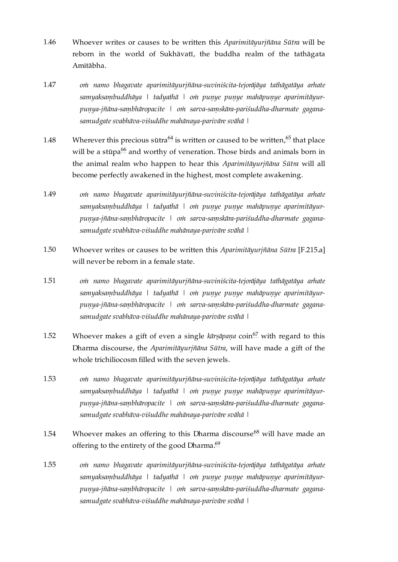- <span id="page-27-0"></span>Whoever writes or causes to be written this *Aparimitāyurjñāna Sūtra* will be reborn in the world of Sukhāvatī, the buddha realm of the tathāgata Amitābha. [1.46](#page-27-0)
- <span id="page-27-1"></span>*oṁ namo bhagavate aparimitāyurjñāna-suviniścita-tejorājāya tathāgatāya arhate samyaksaṃbuddhāya | tadyathā | oṁ puṇye puṇye mahāpuṇye aparimitāyurpuṇya-jñāna-saṃbhāropacite | oṁ sarva-saṃskāra-pariśuddha-dharmate gaganasamudgate svabhāva-viśuddhe mahānaya-parivāre svāhā |* [1.47](#page-27-1)
- <span id="page-27-12"></span><span id="page-27-11"></span><span id="page-27-10"></span><span id="page-27-2"></span>Wherever this precious sūtra $^{64}$  $^{64}$  $^{64}$  is written or caused to be written, $^{65}$  $^{65}$  $^{65}$  that place will be a stūpa $^{66}$  $^{66}$  $^{66}$  and worthy of veneration. Those birds and animals born in the animal realm who happen to hear this *Aparimitāyurjñāna Sūtra* will all become perfectly awakened in the highest, most complete awakening. [1.48](#page-27-2)
- <span id="page-27-3"></span>*oṁ namo bhagavate aparimitāyurjñāna-suviniścita-tejorājāya tathāgatāya arhate samyaksaṃbuddhāya | tadyathā | oṁ puṇye puṇye mahāpuṇye aparimitāyurpuṇya-jñāna-saṃbhāropacite | oṁ sarva-saṃskāra-pariśuddha-dharmate gaganasamudgate svabhāva-viśuddhe mahānaya-parivāre svāhā |* [1.49](#page-27-3)
- <span id="page-27-4"></span>Whoever writes or causes to be written this *Aparimitāyurjñāna Sūtra* [\[F.215.a\]](https://translator:gzungs@read.84000-translate.org/source/toh674.html?ref-index=8#ajax-source) will never be reborn in a female state. [1.50](#page-27-4)
- <span id="page-27-5"></span>*oṁ namo bhagavate aparimitāyurjñāna-suviniścita-tejorājāya tathāgatāya arhate samyaksaṃbuddhāya | tadyathā | oṁ puṇye puṇye mahāpuṇye aparimitāyurpuṇya-jñāna-saṃbhāropacite | oṁ sarva-saṃskāra-pariśuddha-dharmate gaganasamudgate svabhāva-viśuddhe mahānaya-parivāre svāhā |* [1.51](#page-27-5)
- <span id="page-27-13"></span><span id="page-27-6"></span>Whoever makes a gift of even a single kārṣāpaṇa coin<sup>[67](#page-38-6)</sup> with regard to this Dharma discourse, the *Aparimitāyurjñāna Sūtra*, will have made a gift of the whole trichiliocosm filled with the seven jewels. [1.52](#page-27-6)
- <span id="page-27-7"></span>*oṁ namo bhagavate aparimitāyurjñāna-suviniścita-tejorājāya tathāgatāya arhate samyaksaṃbuddhāya | tadyathā | oṁ puṇye puṇye mahāpuṇye aparimitāyurpuṇya-jñāna-saṃbhāropacite | oṁ sarva-saṃskāra-pariśuddha-dharmate gaganasamudgate svabhāva-viśuddhe mahānaya-parivāre svāhā |* [1.53](#page-27-7)
- <span id="page-27-15"></span><span id="page-27-14"></span><span id="page-27-8"></span>Whoever makes an offering to this Dharma discourse<sup>[68](#page-38-7)</sup> will have made an offering to the entirety of the good Dharma.<sup>[69](#page-38-8)</sup> [1.54](#page-27-8)
- <span id="page-27-9"></span>*oṁ namo bhagavate aparimitāyurjñāna-suviniścita-tejorājāya tathāgatāya arhate samyaksaṃbuddhāya | tadyathā | oṁ puṇye puṇye mahāpuṇye aparimitāyurpuṇya-jñāna-saṃbhāropacite | oṁ sarva-saṃskāra-pariśuddha-dharmate gaganasamudgate svabhāva-viśuddhe mahānaya-parivāre svāhā |* [1.55](#page-27-9)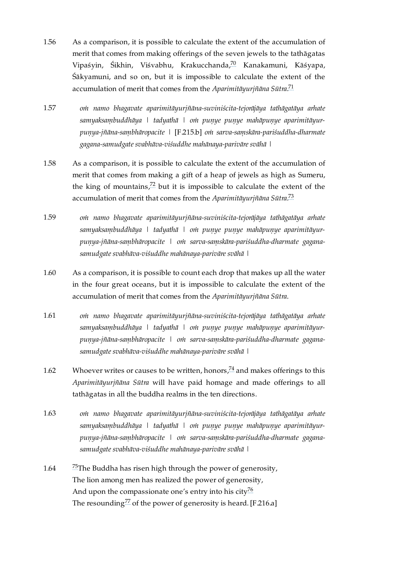- <span id="page-28-9"></span><span id="page-28-0"></span>As a comparison, it is possible to calculate the extent of the accumulation of merit that comes from making offerings of the seven jewels to the tathāgatas Vipaśyin, Śikhin, Viśvabhu, Krakucchanda,<sup>[70](#page-39-0)</sup> Kanakamuni, Kāśyapa, Śākyamuni, and so on, but it is impossible to calculate the extent of the accumulation of merit that comes from the *Aparimitāyurjñāna Sūtra*. [71](#page-39-1) [1.56](#page-28-0)
- <span id="page-28-10"></span><span id="page-28-3"></span>*oṁ namo bhagavate aparimitāyurjñāna-suviniścita-tejorājāya tathāgatāya arhate samyaksaṃbuddhāya | tadyathā | oṁ puṇye puṇye mahāpuṇye aparimitāyurpuṇya-jñāna-saṃbhāropacite |* [\[F.215.b\]](https://translator:gzungs@read.84000-translate.org/source/toh674.html?ref-index=9#ajax-source) *oṁ sarva-saṃskāra-pariśuddha-dharmate gagana-samudgate svabhāva-viśuddhe mahānaya-parivāre svāhā |* [1.57](#page-28-3)
- <span id="page-28-11"></span><span id="page-28-1"></span>As a comparison, it is possible to calculate the extent of the accumulation of merit that comes from making a gift of a heap of jewels as high as Sumeru, the king of mountains, $72$  but it is impossible to calculate the extent of the accumulation of merit that comes from the *Aparimitāyurjñāna Sūtra*. [73](#page-39-3) [1.58](#page-28-1)
- <span id="page-28-12"></span><span id="page-28-4"></span>*oṁ namo bhagavate aparimitāyurjñāna-suviniścita-tejorājāya tathāgatāya arhate samyaksaṃbuddhāya | tadyathā | oṁ puṇye puṇye mahāpuṇye aparimitāyurpuṇya-jñāna-saṃbhāropacite | oṁ sarva-saṃskāra-pariśuddha-dharmate gaganasamudgate svabhāva-viśuddhe mahānaya-parivāre svāhā |* [1.59](#page-28-4)
- <span id="page-28-2"></span>As a comparison, it is possible to count each drop that makes up all the water in the four great oceans, but it is impossible to calculate the extent of the accumulation of merit that comes from the *Aparimitāyurjñāna Sūtra*. [1.60](#page-28-2)
- <span id="page-28-5"></span>*oṁ namo bhagavate aparimitāyurjñāna-suviniścita-tejorājāya tathāgatāya arhate samyaksaṃbuddhāya | tadyathā | oṁ puṇye puṇye mahāpuṇye aparimitāyurpuṇya-jñāna-saṃbhāropacite | oṁ sarva-saṃskāra-pariśuddha-dharmate gaganasamudgate svabhāva-viśuddhe mahānaya-parivāre svāhā |* [1.61](#page-28-5)
- <span id="page-28-13"></span><span id="page-28-6"></span>Whoever writes or causes to be written, honors,  $\frac{74}{7}$  $\frac{74}{7}$  $\frac{74}{7}$  and makes offerings to this *Aparimitāyurjñāna Sūtra* will have paid homage and made offerings to all tathāgatas in all the buddha realms in the ten directions. [1.62](#page-28-6)
- <span id="page-28-7"></span>*oṁ namo bhagavate aparimitāyurjñāna-suviniścita-tejorājāya tathāgatāya arhate samyaksaṃbuddhāya | tadyathā | oṁ puṇye puṇye mahāpuṇye aparimitāyurpuṇya-jñāna-saṃbhāropacite | oṁ sarva-saṃskāra-pariśuddha-dharmate gaganasamudgate svabhāva-viśuddhe mahānaya-parivāre svāhā |* [1.63](#page-28-7)
- <span id="page-28-16"></span><span id="page-28-15"></span><span id="page-28-14"></span><span id="page-28-8"></span> $^{75}$  $^{75}$  $^{75}$ The Buddha has risen high through the power of generosity, The lion among men has realized the power of generosity, And upon the compassionate one's entry into his city $\frac{76}{6}$  $\frac{76}{6}$  $\frac{76}{6}$ The resounding $^{77}$  $^{77}$  $^{77}$  of the power of generosity is heard. [\[F.216.a\]](https://translator:gzungs@read.84000-translate.org/source/toh674.html?ref-index=10#ajax-source) [1.64](#page-28-8)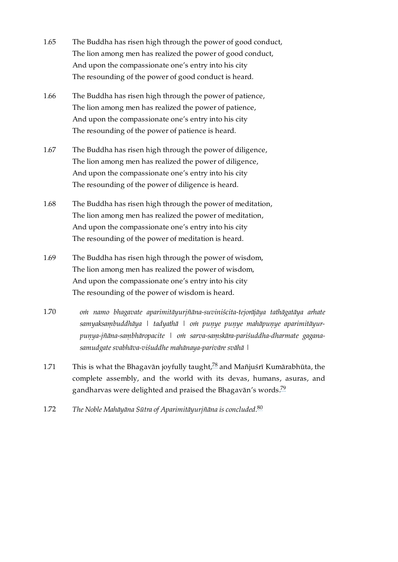- <span id="page-29-0"></span>The Buddha has risen high through the power of good conduct, The lion among men has realized the power of good conduct, And upon the compassionate one's entry into his city The resounding of the power of good conduct is heard. [1.65](#page-29-0)
- <span id="page-29-1"></span>The Buddha has risen high through the power of patience, The lion among men has realized the power of patience, And upon the compassionate one's entry into his city The resounding of the power of patience is heard. [1.66](#page-29-1)
- <span id="page-29-2"></span>The Buddha has risen high through the power of diligence, The lion among men has realized the power of diligence, And upon the compassionate one's entry into his city The resounding of the power of diligence is heard. [1.67](#page-29-2)
- <span id="page-29-3"></span>The Buddha has risen high through the power of meditation, The lion among men has realized the power of meditation, And upon the compassionate one's entry into his city The resounding of the power of meditation is heard. [1.68](#page-29-3)
- <span id="page-29-4"></span>The Buddha has risen high through the power of wisdom, The lion among men has realized the power of wisdom, And upon the compassionate one's entry into his city The resounding of the power of wisdom is heard. [1.69](#page-29-4)
- <span id="page-29-5"></span>*oṁ namo bhagavate aparimitāyurjñāna-suviniścita-tejorājāya tathāgatāya arhate samyaksaṃbuddhāya | tadyathā | oṁ puṇye puṇye mahāpuṇye aparimitāyurpuṇya-jñāna-saṃbhāropacite | oṁ sarva-saṃskāra-pariśuddha-dharmate gaganasamudgate svabhāva-viśuddhe mahānaya-parivāre svāhā |* [1.70](#page-29-5)
- <span id="page-29-8"></span><span id="page-29-6"></span>This is what the Bhagavān joyfully taught, $^{78}$  $^{78}$  $^{78}$  and Mañjuśrī Kumārabhūta, the complete assembly, and the world with its devas, humans, asuras, and gandharvas were delighted and praised the Bhagavān's words. $^{79}$  $^{79}$  $^{79}$ [1.71](#page-29-6)
- <span id="page-29-10"></span><span id="page-29-9"></span><span id="page-29-7"></span>*The Noble Mahāyāna Sūtra of Aparimitāyurjñāna is concluded.* [80](#page-40-3) [1.72](#page-29-7)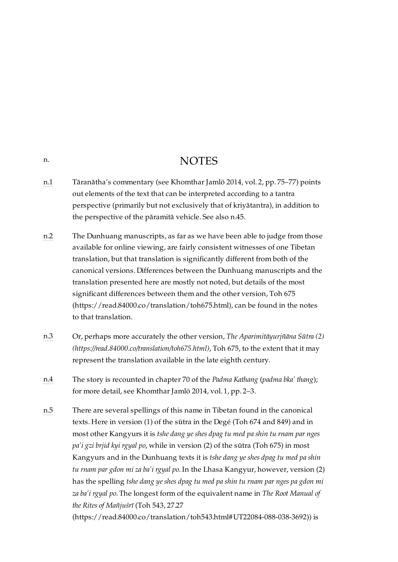## **NOTES**

- <span id="page-30-1"></span>[n.1](#page-8-6) Tāranātha's commentary (see Khomthar Jamlö 2014, vol. 2, pp. 75–77) points out elements of the text that can be interpreted according to a tantra perspective (primarily but not exclusively that of kriyātantra), in addition to the perspective of the pāramitā vehicle. See also [n.45.](#page-34-5)
- <span id="page-30-2"></span>[n.2](#page-9-7) The Dunhuang manuscripts, as far as we have been able to judge from those available for online viewing, are fairly consistent witnesses of one Tibetan translation, but that translation is significantly different from both of the canonical versions. Differences between the Dunhuang manuscripts and the translation presented here are mostly not noted, but details of the most significant differences between them and the other version, Toh 675 [\(https://read.84000.co/translation/toh675.html\),](https://read.84000.co/translation/toh675.html) can be found in the notes to that translation.
- <span id="page-30-3"></span>[n.3](#page-9-8) Or, perhaps more accurately the other version, *The Aparimitāyurjñāna Sūtra (2) [\(https://read.84000.co/translation/toh675.html\)](https://read.84000.co/translation/toh675.html)*, Toh 675, to the extent that it may represent the translation available in the late eighth century.
- <span id="page-30-4"></span>[n.4](#page-9-9) The story is recounted in chapter 70 of the *Padma Kathang* (*padma bka' thang*); for more detail, see Khomthar Jamlö 2014, vol. 1, pp. 2–3.
- <span id="page-30-5"></span>[n.5](#page-9-10) There are several spellings of this name in Tibetan found in the canonical texts. Here in version (1) of the sūtra in the Degé (Toh 674 and 849) and in most other Kangyurs it is *tshe dang ye shes dpag tu med pa shin tu rnam par nges pa'i gzi brjid kyi rgyal po*, while in version (2) of the sūtra (Toh 675) in most Kangyurs and in the Dunhuang texts it is *tshe dang ye shes dpag tu med pa shin tu rnam par gdon mi za ba'i rgyal po*. In the Lhasa Kangyur, however, version (2) has the spelling *tshe dang ye shes dpag tu med pa shin tu rnam par nges pa gdon mi za ba'i rgyal po*. The longest form of the equivalent name in *The Root Manual of the Rites of Mañjuśrī* (Toh 543, 27.27

[\(https://read.84000.co/translation/toh543.html#UT22084-088-038-3692\)\)](https://read.84000.co/translation/toh543.html#UT22084-088-038-3692) is

<span id="page-30-0"></span>[n.](#page-30-0)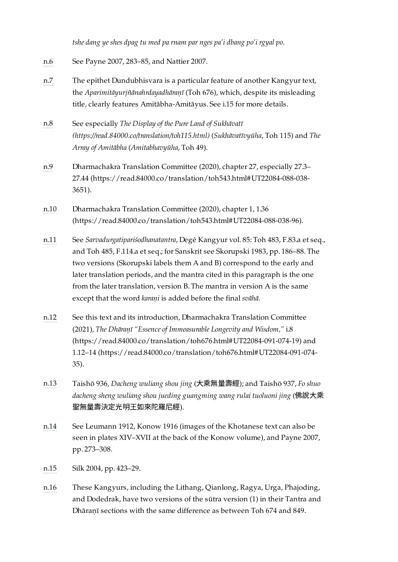*tshe dang ye shes dpag tu med pa rnam par nges pa'i dbang po'i rgyal po*.

- <span id="page-31-0"></span>[n.6](#page-10-4) See Payne 2007, 283–85, and Nattier 2007.
- <span id="page-31-1"></span>[n.7](#page-10-5) The epithet Dundubhisvara is a particular feature of another Kangyur text, the *Aparimitāyurjñānahrdayadhāraṇī* (Toh 676), which, despite its misleading title, clearly features Amitābha-Amitāyus. See [i.15](#page-11-1) for more details.
- <span id="page-31-2"></span>[n.8](#page-10-6) See especially *The Display of the Pure Land of Sukhāvatī [\(https://read.84000.co/translation/toh115.html\)](https://read.84000.co/translation/toh115.html)* (*Sukhāvatīvyūha*, Toh 115) and *The Array of Amitābha* (*Amitabhavyūha*, Toh 49).
- <span id="page-31-3"></span>[n.9](#page-10-7) Dharmachakra Translation Committee (2020), chapter 27, especially 27.3– 27.44 [\(https://read.84000.co/translation/toh543.html#UT22084-088-038-](https://read.84000.co/translation/toh543.html#UT22084-088-038-3651) 3651).
- <span id="page-31-4"></span>[n.10](#page-10-8) Dharmachakra Translation Committee (2020), chapter 1, 1.36 [\(https://read.84000.co/translation/toh543.html#UT22084-088-038-96\)](https://read.84000.co/translation/toh543.html#UT22084-088-038-96).
- <span id="page-31-5"></span>[n.11](#page-11-4) See *Sarvadurgatipariśodhanatantra*, Degé Kangyur vol. 85: Toh 483, F.83.a et seq., and Toh 485, F.114.a et seq.; for Sanskrit see Skorupski 1983, pp. 186–88. The two versions (Skorupski labels them A and B) correspond to the early and later translation periods, and the mantra cited in this paragraph is the one from the later translation, version B. The mantra in version A is the same except that the word *karaṇi* is added before the final *svāhā*.
- <span id="page-31-6"></span>[n.12](#page-11-5) See this text and its introduction, Dharmachakra Translation Committee (2021), *The Dhāraṇī "Essence of Immeasurable Longevity and Wisdom,"* i.8 [\(https://read.84000.co/translation/toh676.html#UT22084-091-074-19\)](https://read.84000.co/translation/toh676.html#UT22084-091-074-19) and 1.12–14 [\(https://read.84000.co/translation/toh676.html#UT22084-091-074-](https://read.84000.co/translation/toh676.html#UT22084-091-074-35) 35).
- <span id="page-31-7"></span>[n.13](#page-11-6) Taishō 936, *Dacheng wuliang shou jing* (⼤乘無量壽經); and Taishō 937, *Fo shuo dacheng sheng wuliang shou jueding guangming wang rulai tuoluoni jing* (佛說⼤乘 聖無量壽決定光明王如來陀羅尼經).
- <span id="page-31-8"></span>[n.14](#page-12-5) See Leumann 1912, Konow 1916 (images of the Khotanese text can also be seen in plates XIV–XVII at the back of the Konow volume), and Payne 2007, pp. 273–308.
- <span id="page-31-9"></span>[n.15](#page-12-6) Silk 2004, pp. 423–29.
- <span id="page-31-10"></span>[n.16](#page-13-3) These Kangyurs, including the Lithang, Qianlong, Ragya, Urga, Phajoding, and Dodedrak, have two versions of the sūtra version (1) in their Tantra and Dhāraṇī sections with the same difference as between Toh 674 and 849.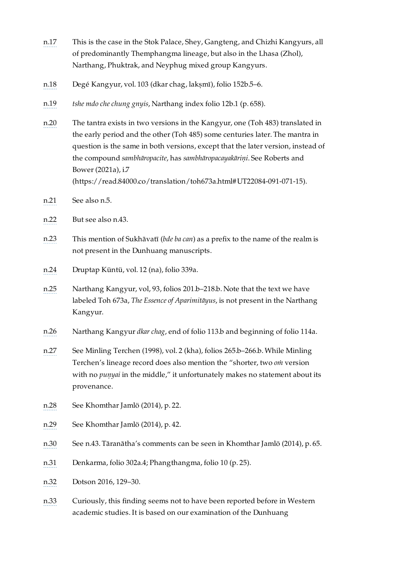- <span id="page-32-0"></span>[n.17](#page-13-4) This is the case in the Stok Palace, Shey, Gangteng, and Chizhi Kangyurs, all of predominantly Themphangma lineage, but also in the Lhasa (Zhol), Narthang, Phuktrak, and Neyphug mixed group Kangyurs.
- <span id="page-32-1"></span>[n.18](#page-13-5) Degé Kangyur, vol. 103 (dkar chag, lakṣmī), folio 152b.5–6.
- <span id="page-32-2"></span>[n.19](#page-13-6) *tshe mdo che chung gnyis*, Narthang index folio 12b.1 (p. 658).
- <span id="page-32-3"></span>[n.20](#page-14-2) The tantra exists in two versions in the Kangyur, one (Toh 483) translated in the early period and the other (Toh 485) some centuries later. The mantra in question is the same in both versions, except that the later version, instead of the compound *sambhāropacite*, has *sambhāropacayakāriṇi*. See Roberts and Bower (2021a), i.7 [\(https://read.84000.co/translation/toh673a.html#UT22084-091-071-15\).](https://read.84000.co/translation/toh673a.html#UT22084-091-071-15)
- <span id="page-32-4"></span>[n.21](#page-14-3) See also [n.5.](#page-30-5)
- <span id="page-32-5"></span>[n.22](#page-14-4) But see also [n.43](#page-34-3).
- <span id="page-32-6"></span>[n.23](#page-14-5) This mention of Sukhāvatī (*bde ba can*) as a prefix to the name of the realm is not present in the Dunhuang manuscripts.
- <span id="page-32-7"></span>[n.24](#page-15-3) Druptap Küntü, vol. 12 (na), folio 339a.
- <span id="page-32-8"></span>[n.25](#page-15-4) Narthang Kangyur, vol, 93, folios 201.b–218.b. Note that the text we have labeled Toh 673a, *The Essence of Aparimitāyus*, is not present in the Narthang Kangyur.
- <span id="page-32-9"></span>[n.26](#page-16-2) Narthang Kangyur *dkar chag*, end of folio 113.b and beginning of folio 114a.
- <span id="page-32-10"></span>[n.27](#page-16-3) See Minling Terchen (1998), vol. 2 (kha), folios 265.b–266.b. While Minling Terchen's lineage record does also mention the "shorter, two *oṁ* version with no *puṇyai* in the middle," it unfortunately makes no statement about its provenance.
- <span id="page-32-11"></span>[n.28](#page-16-4) See Khomthar Jamlö (2014), p. 22.
- <span id="page-32-12"></span>[n.29](#page-16-5) See Khomthar Jamlö (2014), p. 42.
- <span id="page-32-13"></span>[n.30](#page-16-6) See [n.43.](#page-34-3) Tāranātha's comments can be seen in Khomthar Jamlö (2014), p. 65.
- <span id="page-32-14"></span>[n.31](#page-17-4) Denkarma, folio 302a.4; Phangthangma, folio 10 (p. 25).
- <span id="page-32-15"></span>[n.32](#page-17-5) Dotson 2016, 129–30.
- <span id="page-32-16"></span>[n.33](#page-17-6) Curiously, this finding seems not to have been reported before in Western academic studies. It is based on our examination of the Dunhuang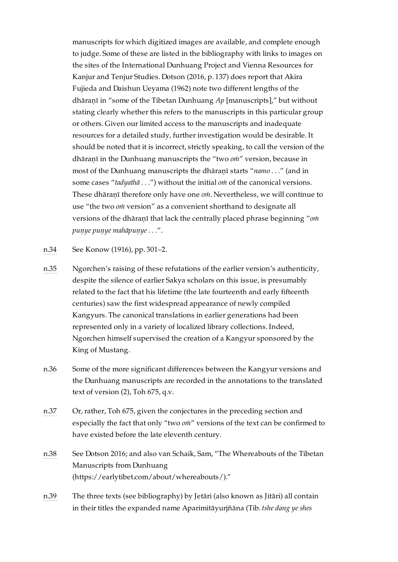manuscripts for which digitized images are available, and complete enough to judge. Some of these are listed in the [bibliography](#page-42-1) with links to images on the sites of the International Dunhuang Project and Vienna Resources for Kanjur and Tenjur Studies. Dotson (2016, p. 137) does report that Akira Fujieda and Daishun Ueyama (1962) note two different lengths of the dhāraṇī in "some of the Tibetan Dunhuang *Ap* [manuscripts]," but without stating clearly whether this refers to the manuscripts in this particular group or others. Given our limited access to the manuscripts and inadequate resources for a detailed study, further investigation would be desirable. It should be noted that it is incorrect, strictly speaking, to call the version of the dhāraṇī in the Dunhuang manuscripts the "two *oṁ*" version, because in most of the Dunhuang manuscripts the dhāraṇī starts "*namo . . .*" (and in some cases "*tadyathā . . .*") without the initial *oṁ* of the canonical versions. These dhāraṇī therefore only have one *oṁ*. Nevertheless, we will continue to use "the two *oṁ* version" as a convenient shorthand to designate all versions of the dhāraṇī that lack the centrally placed phrase beginning "*oṁ puṇye puṇye mahāpuṇye . . .*".

<span id="page-33-0"></span>[n.34](#page-18-3) See Konow (1916), pp. 301–2.

- <span id="page-33-1"></span>[n.35](#page-18-4) Ngorchen's raising of these refutations of the earlier version's authenticity, despite the silence of earlier Sakya scholars on this issue, is presumably related to the fact that his lifetime (the late fourteenth and early fifteenth centuries) saw the first widespread appearance of newly compiled Kangyurs. The canonical translations in earlier generations had been represented only in a variety of localized library collections. Indeed, Ngorchen himself supervised the creation of a Kangyur sponsored by the King of Mustang.
- <span id="page-33-2"></span>[n.36](#page-18-5) Some of the more significant differences between the Kangyur versions and the Dunhuang manuscripts are recorded in the annotations to the translated text of version (2), Toh 675, q.v.
- <span id="page-33-3"></span>[n.37](#page-19-5) Or, rather, Toh 675, given the conjectures in the preceding section and especially the fact that only "two *oṁ*" versions of the text can be confirmed to have existed before the late eleventh century.
- <span id="page-33-4"></span>[n.38](#page-19-6) See Dotson 2016; and also van Schaik, Sam, "The Whereabouts of the Tibetan Manuscripts from Dunhuang [\(https://earlytibet.com/about/whereabouts/\)."](https://earlytibet.com/about/whereabouts/)
- <span id="page-33-5"></span>[n.39](#page-19-7) The three texts (see bibliography) by Jetāri (also known as Jitāri) all contain in their titles the expanded name Aparimitāyurjñāna (Tib. *tshe dang ye shes*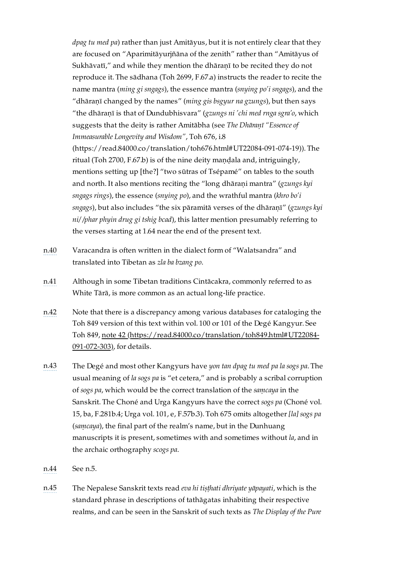*dpag tu med pa*) rather than just Amitāyus, but it is not entirely clear that they are focused on "Aparimitāyurjñāna of the zenith" rather than "Amitāyus of Sukhāvatī," and while they mention the dhāranī to be recited they do not reproduce it. The sādhana (Toh 2699, F.67.a) instructs the reader to recite the name mantra (*ming gi sngags*), the essence mantra (*snying po'i sngags*), and the "dhāraṇī changed by the names" (*ming gis bsgyur na gzungs*), but then says "the dhāraṇī is that of Dundubhisvara" (*gzungs ni 'chi med rnga sgra'o*, which suggests that the deity is rather Amitābha (see *The Dhāraṇī "Essence of Immeasurable Longevity and Wisdom"*, Toh 676, i.8 [\(https://read.84000.co/translation/toh676.html#UT22084-091-074-19\)](https://read.84000.co/translation/toh676.html#UT22084-091-074-19)). The ritual (Toh 2700, F.67.b) is of the nine deity mandala and, intriguingly, mentions setting up [the?] "two sūtras of Tsépamé" on tables to the south and north. It also mentions reciting the "long dhāraṇi mantra" (*gzungs kyi sngags rings*), the essence (*snying po*), and the wrathful mantra (*khro bo'i sngags*), but also includes "the six pāramitā verses of the dhāraṇī" (*gzungs kyi ni/ /phar phyin drug gi tshig bcad*), this latter mention presumably referring to the verses starting at [1.64](#page-28-8) near the end of the present text.

- <span id="page-34-0"></span>[n.40](#page-20-2) Varacandra is often written in the dialect form of "Walatsandra" and translated into Tibetan as *zla ba bzang po*.
- <span id="page-34-1"></span>[n.41](#page-20-3) Although in some Tibetan traditions Cintācakra, commonly referred to as White Tārā, is more common as an actual long-life practice.
- <span id="page-34-2"></span>[n.42](#page-22-7) Note that there is a discrepancy among various databases for cataloging the Toh 849 version of this text within vol. 100 or 101 of the Degé Kangyur. See Toh 849, note 42 [\(https://read.84000.co/translation/toh849.html#UT22084-](https://read.84000.co/translation/toh849.html#UT22084-091-072-303) 091-072-303), for details.
- <span id="page-34-3"></span>[n.43](#page-22-8) The Degé and most other Kangyurs have *yon tan dpag tu med pa la sogs pa*. The usual meaning of *la sogs pa* is "et cetera," and is probably a scribal corruption of *sogs pa*, which would be the correct translation of the *saṃcaya* in the Sanskrit. The Choné and Urga Kangyurs have the correct *sogs pa* (Choné vol. 15, ba, F.281b.4; Urga vol. 101, e, F.57b.3). Toh 675 omits altogether *[la] sogs pa* (*saṃcaya*), the final part of the realm's name, but in the Dunhuang manuscripts it is present, sometimes with and sometimes without *la*, and in the archaic orthography *scogs pa*.
- <span id="page-34-4"></span>[n.44](#page-22-9) See [n.5](#page-30-5).
- <span id="page-34-5"></span>[n.45](#page-22-10) The Nepalese Sanskrit texts read *eva hi tiṣṭhati dhriyate yāpayati*, which is the standard phrase in descriptions of tathāgatas inhabiting their respective realms, and can be seen in the Sanskrit of such texts as *The Display of the Pure*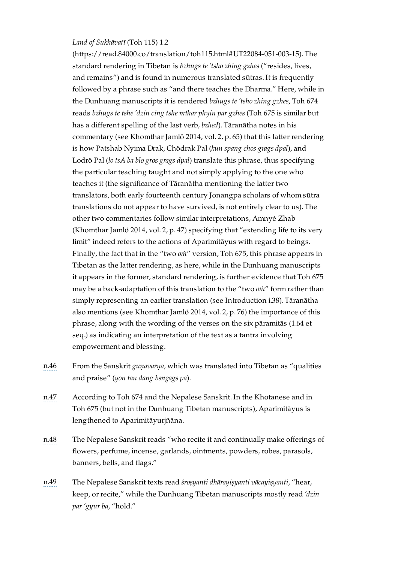### *Land of Sukhāvatī* (Toh 115) 1.2

[\(https://read.84000.co/translation/toh115.html#UT22084-051-003-15\)](https://read.84000.co/translation/toh115.html#UT22084-051-003-15). The standard rendering in Tibetan is *bzhugs te 'tsho zhing gzhes* ("resides, lives, and remains") and is found in numerous translated sūtras. It is frequently followed by a phrase such as "and there teaches the Dharma." Here, while in the Dunhuang manuscripts it is rendered *bzhugs te 'tsho zhing gzhes*, Toh 674 reads *bzhugs te tshe 'dzin cing tshe mthar phyin par gzhes* (Toh 675 is similar but has a different spelling of the last verb, *bzhed*). Tāranātha notes in his commentary (see Khomthar Jamlö 2014, vol. 2, p. 65) that this latter rendering is how Patshab Nyima Drak, Chödrak Pal (*kun spang chos grags dpal*), and Lodrö Pal (*lo tsA ba blo gros grags dpal*) translate this phrase, thus specifying the particular teaching taught and not simply applying to the one who teaches it (the significance of Tāranātha mentioning the latter two translators, both early fourteenth century Jonangpa scholars of whom sūtra translations do not appear to have survived, is not entirely clear to us). The other two commentaries follow similar interpretations, Amnyé Zhab (Khomthar Jamlö 2014, vol. 2, p. 47) specifying that "extending life to its very limit" indeed refers to the actions of Aparimitāyus with regard to beings. Finally, the fact that in the "two *oṁ*" version, Toh 675, this phrase appears in Tibetan as the latter rendering, as here, while in the Dunhuang manuscripts it appears in the former, standard rendering, is further evidence that Toh 675 may be a back-adaptation of this translation to the "two *oṁ*" form rather than simply representing an earlier translation (see Introduction [i.38](#page-18-2)). Tāranātha also mentions (see Khomthar Jamlö 2014, vol. 2, p. 76) the importance of this phrase, along with the wording of the verses on the six pāramitās [\(1.64](#page-28-8) et seq.) as indicating an interpretation of the text as a tantra involving empowerment and blessing.

- <span id="page-35-0"></span>[n.46](#page-22-11) From the Sanskrit *guṇavarṇa*, which was translated into Tibetan as "qualities and praise" (*yon tan dang bsngags pa*).
- <span id="page-35-1"></span>[n.47](#page-22-12) According to Toh 674 and the Nepalese Sanskrit. In the Khotanese and in Toh 675 (but not in the Dunhuang Tibetan manuscripts), Aparimitāyus is lengthened to Aparimitāyurjñāna.
- <span id="page-35-2"></span>[n.48](#page-22-13) The Nepalese Sanskrit reads "who recite it and continually make offerings of flowers, perfume, incense, garlands, ointments, powders, robes, parasols, banners, bells, and flags."
- <span id="page-35-3"></span>[n.49](#page-22-14) The Nepalese Sanskrit texts read *śroṣyanti dhārayiṣyanti vācayiṣyanti*, "hear, keep, or recite," while the Dunhuang Tibetan manuscripts mostly read *'dzin par 'gyur ba*, "hold."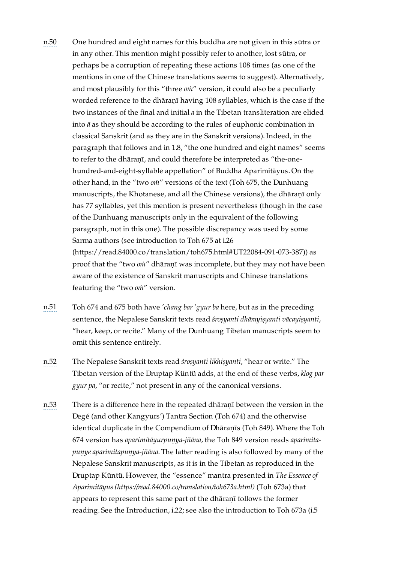- <span id="page-36-0"></span>[n.50](#page-22-15) One hundred and eight names for this buddha are not given in this sūtra or in any other. This mention might possibly refer to another, lost sūtra, or perhaps be a corruption of repeating these actions 108 times (as one of the mentions in one of the Chinese translations seems to suggest). Alternatively, and most plausibly for this "three *oṁ*" version, it could also be a peculiarly worded reference to the dhāraṇī having 108 syllables, which is the case if the two instances of the final and initial *a* in the Tibetan transliteration are elided into *ā* as they should be according to the rules of euphonic combination in classical Sanskrit (and as they are in the Sanskrit versions). Indeed, in the paragraph that follows and in [1.8](#page-23-1), "the one hundred and eight names" seems to refer to the dhāranī, and could therefore be interpreted as "the-onehundred-and-eight-syllable appellation" of Buddha Aparimitāyus. On the other hand, in the "two *oṁ*" versions of the text (Toh 675, the Dunhuang manuscripts, the Khotanese, and all the Chinese versions), the dhāraṇī only has 77 syllables, yet this mention is present nevertheless (though in the case of the Dunhuang manuscripts only in the equivalent of the following paragraph, not in this one). The possible discrepancy was used by some Sarma authors (see introduction to Toh 675 at i.26 [\(https://read.84000.co/translation/toh675.html#UT22084-091-073-387\)\)](https://read.84000.co/translation/toh675.html#UT22084-091-073-387) as proof that the "two *oṁ*" dhāraṇī was incomplete, but they may not have been aware of the existence of Sanskrit manuscripts and Chinese translations featuring the "two *oṁ*" version.
- <span id="page-36-1"></span>[n.51](#page-22-16) Toh 674 and 675 both have *'chang bar 'gyur ba* here, but as in the preceding sentence, the Nepalese Sanskrit texts read *śroṣyanti dhārayiṣyanti vācayiṣyanti*, "hear, keep, or recite." Many of the Dunhuang Tibetan manuscripts seem to omit this sentence entirely.
- <span id="page-36-2"></span>[n.52](#page-22-17) The Nepalese Sanskrit texts read *śroṣyanti likhiṣyanti*, "hear or write." The Tibetan version of the Druptap Küntü adds, at the end of these verbs, *klog par gyur pa*, "or recite," not present in any of the canonical versions.
- <span id="page-36-3"></span>[n.53](#page-23-10) There is a difference here in the repeated dhāraṇī between the version in the Degé (and other Kangyurs') Tantra Section (Toh 674) and the otherwise identical duplicate in the Compendium of Dhāraṇīs (Toh 849). Where the Toh 674 version has *aparimitāyurpuṇya-jñāna*, the Toh 849 version reads *aparimitapuṇye aparimitapuṇya-jñāna*. The latter reading is also followed by many of the Nepalese Sanskrit manuscripts, as it is in the Tibetan as reproduced in the Druptap Küntü. However, the "essence" mantra presented in *The Essence of Aparimitāyus [\(https://read.84000.co/translation/toh673a.html\)](https://read.84000.co/translation/toh673a.html)* (Toh 673a) that appears to represent this same part of the dhāraṇī follows the former reading. See the [Introduction,](https://read.84000.co/translation/toh673a.html#UT22084-091-071-12) [i.22;](#page-13-1) see also the introduction to Toh 673a (i.5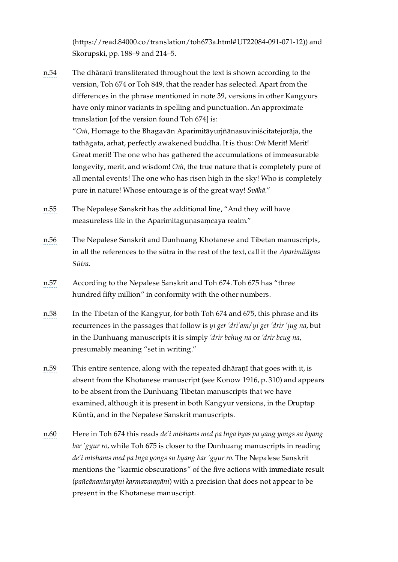[\(https://read.84000.co/translation/toh673a.html#UT22084-091-071-12\)\)](https://read.84000.co/translation/toh673a.html#UT22084-091-071-12) and Skorupski, pp. 188–9 and 214–5.

<span id="page-37-0"></span>[n.54](#page-23-11) The dhāraṇī transliterated throughout the text is shown according to the version, Toh 674 or Toh 849, that the reader has selected. Apart from the differences in the phrase mentioned in note 39, versions in other Kangyurs have only minor variants in spelling and punctuation. An approximate translation [of the version found Toh 674] is:

"*Oṁ*, Homage to the Bhagavān Aparimitāyurjñānasuviniścitatejorāja, the tathāgata, arhat, perfectly awakened buddha. It is thus: *Oṁ* Merit! Merit! Great merit! The one who has gathered the accumulations of immeasurable longevity, merit, and wisdom! *Oṁ*, the true nature that is completely pure of all mental events! The one who has risen high in the sky! Who is completely pure in nature! Whose entourage is of the great way! *Svāhā*."

- <span id="page-37-1"></span>[n.55](#page-23-12) The Nepalese Sanskrit has the additional line, "And they will have measureless life in the Aparimitagunasamcaya realm."
- <span id="page-37-2"></span>[n.56](#page-23-13) The Nepalese Sanskrit and Dunhuang Khotanese and Tibetan manuscripts, in all the references to the sūtra in the rest of the text, call it the *Aparimitāyus Sūtra*.
- <span id="page-37-3"></span>[n.57](#page-24-11) According to the Nepalese Sanskrit and Toh 674. Toh 675 has "three hundred fifty million" in conformity with the other numbers.
- <span id="page-37-4"></span>[n.58](#page-25-9) In the Tibetan of the Kangyur, for both Toh 674 and 675, this phrase and its recurrences in the passages that follow is *yi ger 'dri'am/ yi ger 'drir 'jug na*, but in the Dunhuang manuscripts it is simply *'drir bchug na* or *'drir bcug na*, presumably meaning "set in writing."
- <span id="page-37-5"></span>[n.59](#page-25-10) This entire sentence, along with the repeated dhāraṇī that goes with it, is absent from the Khotanese manuscript (see Konow 1916, p. 310) and appears to be absent from the Dunhuang Tibetan manuscripts that we have examined, although it is present in both Kangyur versions, in the Druptap Küntü, and in the Nepalese Sanskrit manuscripts.
- <span id="page-37-6"></span>[n.60](#page-25-11) Here in Toh 674 this reads *de'i mtshams med pa lnga byas pa yang yongs su byang bar 'gyur ro*, while Toh 675 is closer to the Dunhuang manuscripts in reading *de'i mtshams med pa lnga yongs su byang bar 'gyur ro*. The Nepalese Sanskrit mentions the "karmic obscurations" of the five actions with immediate result (*pañcānantaryāṇi karmavaraṇāni*) with a precision that does not appear to be present in the Khotanese manuscript.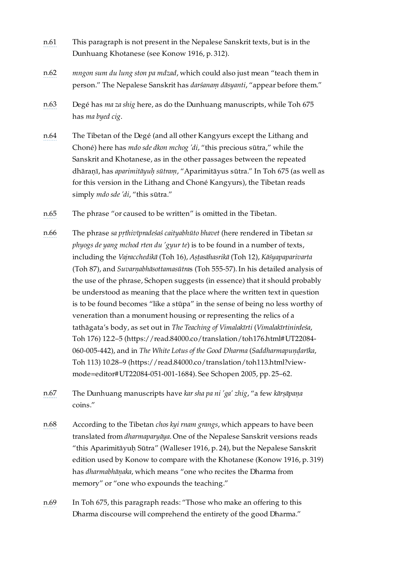- <span id="page-38-0"></span>[n.61](#page-26-9) This paragraph is not present in the Nepalese Sanskrit texts, but is in the Dunhuang Khotanese (see Konow 1916, p. 312).
- <span id="page-38-1"></span>[n.62](#page-26-10) *mngon sum du lung ston pa mdzad*, which could also just mean "teach them in person." The Nepalese Sanskrit has *darśanaṃ dāsyanti*, "appear before them."
- <span id="page-38-2"></span>[n.63](#page-26-11) Degé has *ma za shig* here, as do the Dunhuang manuscripts, while Toh 675 has *ma byed cig*.
- <span id="page-38-3"></span>[n.64](#page-27-10) The Tibetan of the Degé (and all other Kangyurs except the Lithang and Choné) here has *mdo sde dkon mchog 'di*, "this precious sūtra," while the Sanskrit and Khotanese, as in the other passages between the repeated dhāraṇī, has *aparimitāyuḥ sūtraṃ*, "Aparimitāyus sūtra." In Toh 675 (as well as for this version in the Lithang and Choné Kangyurs), the Tibetan reads simply *mdo sde 'di*, "this sūtra."
- <span id="page-38-4"></span>[n.65](#page-27-11) The phrase "or caused to be written" is omitted in the Tibetan.
- <span id="page-38-5"></span>[n.66](#page-27-12) The phrase *sa pṛthivīpradeśaś caityabhūto bhavet* (here rendered in Tibetan *sa phyogs de yang mchod rten du 'gyur te*) is to be found in a number of texts, including the *Vajracchedikā* (Toh 16), *Aṣṭasāhasrikā* (Toh 12), *Kāśyapaparivarta* (Toh 87), and *Suvarṇabhāsottamasūtra*s (Toh 555-57). In his detailed analysis of the use of the phrase, Schopen suggests (in essence) that it should probably be understood as meaning that the place where the written text in question is to be found becomes "like a stūpa" in the sense of being no less worthy of veneration than a monument housing or representing the relics of a tathāgata's body, as set out in *The Teaching of Vimalakīrti* (*Vimalakīrtinirdeśa*, Toh 176) 12.2–5 [\(https://read.84000.co/translation/toh176.html#UT22084-](https://read.84000.co/translation/toh176.html#UT22084-060-005-442) 060-005-442), and in *The White Lotus of the Good Dharma* (*Saddharmapuṇḍarīka*, Toh 113) 10.28–9 [\(https://read.84000.co/translation/toh113.html?view](https://read.84000.co/translation/toh113.html?view-mode=editor#UT22084-051-001-1684)mode=editor#UT22084-051-001-1684). See Schopen 2005, pp. 25–62.
- <span id="page-38-6"></span>[n.67](#page-27-13) The Dunhuang manuscripts have *kar sha pa ni 'ga' zhig*, "a few *kārṣāpaṇa* coins."
- <span id="page-38-7"></span>[n.68](#page-27-14) According to the Tibetan *chos kyi rnam grangs*, which appears to have been translated from *dharmaparyāya*. One of the Nepalese Sanskrit versions reads "this Aparimitāyuḥ Sūtra" (Walleser 1916, p. 24), but the Nepalese Sanskrit edition used by Konow to compare with the Khotanese (Konow 1916, p. 319) has *dharmabhāṇaka*, which means "one who recites the Dharma from memory" or "one who expounds the teaching."
- <span id="page-38-8"></span>[n.69](#page-27-15) In Toh 675, this paragraph reads: "Those who make an offering to this Dharma discourse will comprehend the entirety of the good Dharma."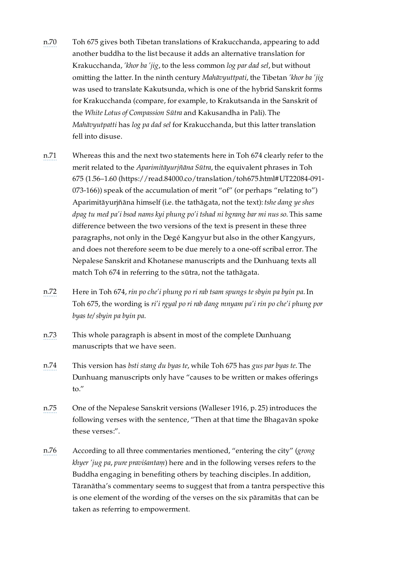- <span id="page-39-0"></span>[n.70](#page-28-9) Toh 675 gives both Tibetan translations of Krakucchanda, appearing to add another buddha to the list because it adds an alternative translation for Krakucchanda, *'khor ba 'jig*, to the less common *log par dad sel*, but without omitting the latter. In the ninth century *Mahāvyuttpati*, the Tibetan *'khor ba 'jig* was used to translate Kakutsunda, which is one of the hybrid Sanskrit forms for Krakucchanda (compare, for example, to Krakutsanda in the Sanskrit of the *White Lotus of Compassion Sūtra* and Kakusandha in Pali). The *Mahāvyutpatti* has *log pa dad sel* for Krakucchanda, but this latter translation fell into disuse.
- <span id="page-39-1"></span>[n.71](#page-28-10) Whereas this and the next two statements here in Toh 674 clearly refer to the merit related to the *Aparimitāyurjñāna Sūtra*, the equivalent phrases in Toh 675 (1.56–1.60 [\(https://read.84000.co/translation/toh675.html#UT22084-091-](https://read.84000.co/translation/toh675.html#UT22084-091-073-166) 073-166)) speak of the accumulation of merit "of" (or perhaps "relating to") Aparimitāyurjñāna himself (i.e. the tathāgata, not the text): *tshe dang ye shes dpag tu med pa'i bsod nams kyi phung po'i tshad ni bgrang bar mi nus so*. This same difference between the two versions of the text is present in these three paragraphs, not only in the Degé Kangyur but also in the other Kangyurs, and does not therefore seem to be due merely to a one-off scribal error. The Nepalese Sanskrit and Khotanese manuscripts and the Dunhuang texts all match Toh 674 in referring to the sūtra, not the tathāgata.
- <span id="page-39-2"></span>[n.72](#page-28-11) Here in Toh 674, *rin po che'i phung po ri rab tsam spungs te sbyin pa byin pa*. In Toh 675, the wording is *ri'i rgyal po ri rab dang mnyam pa'i rin po che'i phung por byas te/ sbyin pa byin pa*.
- <span id="page-39-3"></span>[n.73](#page-28-12) This whole paragraph is absent in most of the complete Dunhuang manuscripts that we have seen.
- <span id="page-39-4"></span>[n.74](#page-28-13) This version has *bsti stang du byas te*, while Toh 675 has *gus par byas te*. The Dunhuang manuscripts only have "causes to be written or makes offerings to."
- <span id="page-39-5"></span>[n.75](#page-28-14) One of the Nepalese Sanskrit versions (Walleser 1916, p. 25) introduces the following verses with the sentence, "Then at that time the Bhagavān spoke these verses:".
- <span id="page-39-6"></span>[n.76](#page-28-15) According to all three commentaries mentioned, "entering the city" (*grong khyer 'jug pa*, *pure praviśantaṃ*) here and in the following verses refers to the Buddha engaging in benefiting others by teaching disciples. In addition, Tāranātha's commentary seems to suggest that from a tantra perspective this is one element of the wording of the verses on the six pāramitās that can be taken as referring to empowerment.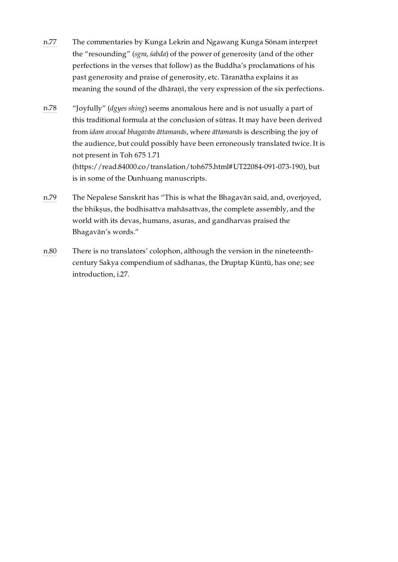- <span id="page-40-0"></span>[n.77](#page-28-16) The commentaries by Kunga Lekrin and Ngawang Kunga Sönam interpret the "resounding" (*sgra*, *śabda*) of the power of generosity (and of the other perfections in the verses that follow) as the Buddha's proclamations of his past generosity and praise of generosity, etc. Tāranātha explains it as meaning the sound of the dhāraṇī, the very expression of the six perfections.
- <span id="page-40-1"></span>[n.78](#page-29-8) "Joyfully" (*dgyes shing*) seems anomalous here and is not usually a part of this traditional formula at the conclusion of sūtras. It may have been derived from *idam avocad bhagavān āttamanās*, where *āttamanās* is describing the joy of the audience, but could possibly have been erroneously translated twice. It is not present in Toh 675 1.71 [\(https://read.84000.co/translation/toh675.html#UT22084-091-073-190\),](https://read.84000.co/translation/toh675.html#UT22084-091-073-190) but is in some of the Dunhuang manuscripts.
- <span id="page-40-2"></span>[n.79](#page-29-9) The Nepalese Sanskrit has "This is what the Bhagavān said, and, overjoyed, the bhiksus, the bodhisattva mahāsattvas, the complete assembly, and the world with its devas, humans, asuras, and gandharvas praised the Bhagavān's words."
- <span id="page-40-3"></span>[n.80](#page-29-10) There is no translators' colophon, although the version in the nineteenthcentury Sakya compendium of sādhanas, the Druptap Küntü, has one; see introduction, [i.27](#page-15-0).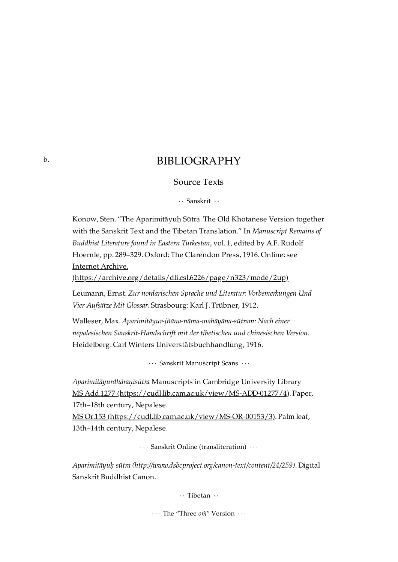# BIBLIOGRAPHY

· Source Texts ·

· · Sanskrit · ·

<span id="page-41-2"></span><span id="page-41-1"></span><span id="page-41-0"></span>Konow, Sten. "The Aparimitāyuḥ Sūtra. The Old Khotanese Version together with the Sanskrit Text and the Tibetan Translation." In *Manuscript Remains of Buddhist Literature found in Eastern Turkestan*, vol. 1, edited by A.F. Rudolf Hoernle, pp. 289–329. Oxford: The Clarendon Press, 1916. Online: see Internet Archive.

[\(https://archive.org/details/dli.csl.6226/page/n323/mode/2up\)](https://archive.org/details/dli.csl.6226/page/n323/mode/2up)

Leumann, Ernst. *Zur nordarischen Sprache und Literatur: Vorbemerkungen Und Vier Aufsätze Mit Glossar*. Strasbourg: Karl J. Trübner, 1912.

Walleser, Max. *Aparimitāyur-jñāna-nāma-mahāyāna-sūtram: Nach einer nepalesischen Sanskrit-Handschrift mit der tibetischen und chinesischen Version*. Heidelberg: Carl Winters Universtätsbuchhandlung, 1916.

· · · Sanskrit Manuscript Scans · · ·

<span id="page-41-3"></span>*Aparimitāyurdhāraṇīsūtra* Manuscripts in Cambridge University Library MS Add.1277 [\(https://cudl.lib.cam.ac.uk/view/MS-ADD-01277/4\).](https://cudl.lib.cam.ac.uk/view/MS-ADD-01277/4) Paper, 17th–18th century, Nepalese.

MS Or.153 [\(https://cudl.lib.cam.ac.uk/view/MS-OR-00153/3\)](https://cudl.lib.cam.ac.uk/view/MS-OR-00153/3). Palm leaf, 13th–14th century, Nepalese.

· · · Sanskrit Online (transliteration) · · ·

<span id="page-41-6"></span><span id="page-41-5"></span><span id="page-41-4"></span>*Aparimitāyuḥ sūtra [\(http://www.dsbcproject.org/canon-text/content/24/259\)](http://www.dsbcproject.org/canon-text/content/24/259)*. Digital Sanskrit Buddhist Canon.

· · Tibetan · ·

· · · The "Three *oṁ*" Version · · ·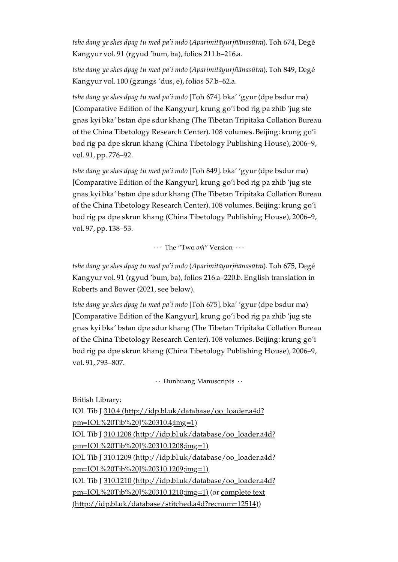*tshe dang ye shes dpag tu med pa'i mdo* (*Aparimitāyurjñānasūtra*). Toh 674, Degé Kangyur vol. 91 (rgyud 'bum, ba), folios 211.b–216.a.

*tshe dang ye shes dpag tu med pa'i mdo* (*Aparimitāyurjñānasūtra*). Toh 849, Degé Kangyur vol. 100 (gzungs 'dus, e), folios 57.b–62.a.

*tshe dang ye shes dpag tu med pa'i mdo* [Toh 674]. bka' 'gyur (dpe bsdur ma) [Comparative Edition of the Kangyur], krung go'i bod rig pa zhib 'jug ste gnas kyi bka' bstan dpe sdur khang (The Tibetan Tripitaka Collation Bureau of the China Tibetology Research Center). 108 volumes. Beijing: krung go'i bod rig pa dpe skrun khang (China Tibetology Publishing House), 2006–9, vol. 91, pp. 776–92.

*tshe dang ye shes dpag tu med pa'i mdo* [Toh 849]. bka' 'gyur (dpe bsdur ma) [Comparative Edition of the Kangyur], krung go'i bod rig pa zhib 'jug ste gnas kyi bka' bstan dpe sdur khang (The Tibetan Tripitaka Collation Bureau of the China Tibetology Research Center). 108 volumes. Beijing: krung go'i bod rig pa dpe skrun khang (China Tibetology Publishing House), 2006–9, vol. 97, pp. 138–53.

· · · The "Two *oṁ*" Version · · ·

<span id="page-42-0"></span>*tshe dang ye shes dpag tu med pa'i mdo* (*Aparimitāyurjñānasūtra*). Toh 675, Degé Kangyur vol. 91 (rgyud 'bum, ba), folios 216.a–220.b. English translation in Roberts and Bower (2021, see below).

*tshe dang ye shes dpag tu med pa'i mdo* [Toh 675]. bka' 'gyur (dpe bsdur ma) [Comparative Edition of the Kangyur], krung go'i bod rig pa zhib 'jug ste gnas kyi bka' bstan dpe sdur khang (The Tibetan Tripitaka Collation Bureau of the China Tibetology Research Center). 108 volumes. Beijing: krung go'i bod rig pa dpe skrun khang (China Tibetology Publishing House), 2006–9, vol. 91, 793–807.

 $\cdots$  Dunhuang Manuscripts  $\cdots$ 

<span id="page-42-1"></span>British Library:

IOL Tib J 310.4 [\(http://idp.bl.uk/database/oo\\_loader.a4d?](http://idp.bl.uk/database/oo_loader.a4d?pm=IOL%20Tib%20J%20310.4;img=1) pm=IOL%20Tib%20J%20310.4;img=1) IOL Tib J 310.1208 [\(http://idp.bl.uk/database/oo\\_loader.a4d?](http://idp.bl.uk/database/oo_loader.a4d?pm=IOL%20Tib%20J%20310.1208;img=1) pm=IOL%20Tib%20J%20310.1208;img=1) IOL Tib J 310.1209 (http://idp.bl.uk/database/oo\_loader.a4d? [pm=IOL%20Tib%20J%20310.1209;img=1\)](http://idp.bl.uk/database/oo_loader.a4d?pm=IOL%20Tib%20J%20310.1209;img=1) IOL Tib J 310.1210 [\(http://idp.bl.uk/database/oo\\_loader.a4d?](http://idp.bl.uk/database/oo_loader.a4d?pm=IOL%20Tib%20J%20310.1210;img=1) pm=IOL%20Tib%20J%20310.1210;img=1) (or complete text [\(http://idp.bl.uk/database/stitched.a4d?recnum=12514\)\)](http://idp.bl.uk/database/stitched.a4d?recnum=12514)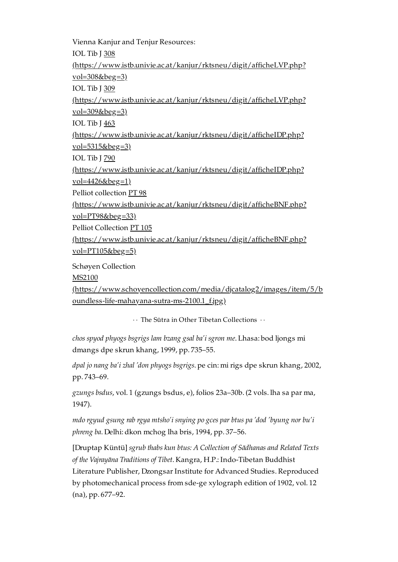Vienna Kanjur and Tenjur Resources: IOL Tib J 308 [\(https://www.istb.univie.ac.at/kanjur/rktsneu/digit/afficheLVP.php?](https://www.istb.univie.ac.at/kanjur/rktsneu/digit/afficheLVP.php?vol=308&beg=3) vol=308&beg=3) IOL Tib J 309 [\(https://www.istb.univie.ac.at/kanjur/rktsneu/digit/afficheLVP.php?](https://www.istb.univie.ac.at/kanjur/rktsneu/digit/afficheLVP.php?vol=309&beg=3) vol=309&beg=3) IOL Tib J 463 [\(https://www.istb.univie.ac.at/kanjur/rktsneu/digit/afficheIDP.php?](https://www.istb.univie.ac.at/kanjur/rktsneu/digit/afficheIDP.php?vol=5315&beg=3)  $vol = 5315$ &beg=3) IOL Tib J 790 [\(https://www.istb.univie.ac.at/kanjur/rktsneu/digit/afficheIDP.php?](https://www.istb.univie.ac.at/kanjur/rktsneu/digit/afficheIDP.php?vol=4426&beg=1) vol=4426&beg=1) Pelliot collection PT 98 [\(https://www.istb.univie.ac.at/kanjur/rktsneu/digit/afficheBNF.php?](https://www.istb.univie.ac.at/kanjur/rktsneu/digit/afficheBNF.php?vol=PT98&beg=33) vol=PT98&beg=33) Pelliot Collection PT 105 [\(https://www.istb.univie.ac.at/kanjur/rktsneu/digit/afficheBNF.php?](https://www.istb.univie.ac.at/kanjur/rktsneu/digit/afficheBNF.php?vol=PT105&beg=5)  $vol=PT105&beg=5)$ Schøyen Collection MS2100 [\(https://www.schoyencollection.com/media/djcatalog2/images/item/5/b](https://www.schoyencollection.com/media/djcatalog2/images/item/5/boundless-life-mahayana-sutra-ms-2100.1_f.jpg)

· · The Sūtra in Other Tibetan Collections · ·

<span id="page-43-0"></span>oundless-life-mahayana-sutra-ms-2100.1\_f.jpg)

*chos spyod phyogs bsgrigs lam bzang gsal ba'i sgron me*. Lhasa: bod ljongs mi dmangs dpe skrun khang, 1999, pp. 735–55.

*dpal jo nang ba'i zhal 'don phyogs bsgrigs*. pe cin: mi rigs dpe skrun khang, 2002, pp. 743–69.

*gzungs bsdus*, vol. 1 (gzungs bsdus, e), folios 23a–30b. (2 vols. lha sa par ma, 1947).

*mdo rgyud gsung rab rgya mtsho'i snying po gces par btus pa 'dod 'byung nor bu'i phreng ba*. Delhi: dkon mchog lha bris, 1994, pp. 37–56.

[Druptap Küntü] *sgrub thabs kun btus: A Collection of Sādhanas and Related Texts of the Vajrayāna Traditions of Tibet*. Kangra, H.P.: Indo-Tibetan Buddhist Literature Publisher, Dzongsar Institute for Advanced Studies. Reproduced by photomechanical process from sde-ge xylograph edition of 1902, vol. 12 (na), pp. 677–92.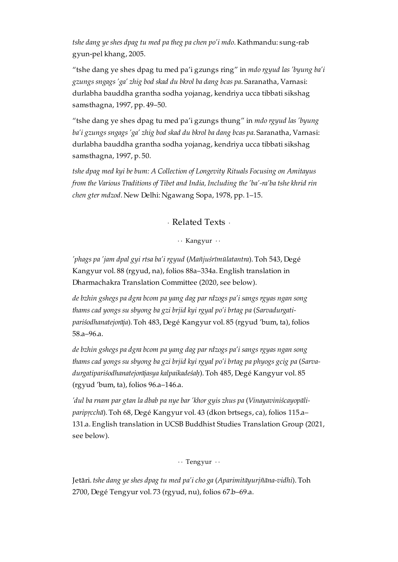*tshe dang ye shes dpag tu med pa theg pa chen po'i mdo*. Kathmandu: sung-rab gyun-pel khang, 2005.

"tshe dang ye shes dpag tu med pa'i gzungs ring" in *mdo rgyud las 'byung ba'i gzungs sngags 'ga' zhig bod skad du bkrol ba dang bcas pa*. Saranatha, Varnasi: durlabha bauddha grantha sodha yojanag, kendriya ucca tibbati sikshag samsthagna, 1997, pp. 49–50.

"tshe dang ye shes dpag tu med pa'i gzungs thung" in *mdo rgyud las 'byung ba'i gzungs sngags 'ga' zhig bod skad du bkrol ba dang bcas pa*. Saranatha, Varnasi: durlabha bauddha grantha sodha yojanag, kendriya ucca tibbati sikshag samsthagna, 1997, p. 50.

*tshe dpag med kyi be bum: A Collection of Longevity Rituals Focusing on Amitayus from the Various Traditions of Tibet and India, Including the 'ba'-ra'ba tshe khrid rin chen gter mdzod*. New Delhi: Ngawang Sopa, 1978, pp. 1–15.

· Related Texts ·

· · Kangyur · ·

<span id="page-44-1"></span><span id="page-44-0"></span>*'phags pa 'jam dpal gyi rtsa ba'i rgyud* (*Mañjuśrīmūlatantra*). Toh 543, Degé Kangyur vol. 88 (rgyud, na), folios 88a–334a. English translation in Dharmachakra Translation Committee (2020, see below).

*de bzhin gshegs pa dgra bcom pa yang dag par rdzogs pa'i sangs rgyas ngan song thams cad yongs su sbyong ba gzi brjid kyi rgyal po'i brtag pa* (*Sarvadurgatipariśodhanatejorāja*). Toh 483, Degé Kangyur vol. 85 (rgyud 'bum, ta), folios 58.a–96.a.

*de bzhin gshegs pa dgra bcom pa yang dag par rdzogs pa'i sangs rgyas ngan song thams cad yongs su sbyong ba gzi brjid kyi rgyal po'i brtag pa phyogs gcig pa* (*Sarvadurgatipariśodhanatejorājasya kalpaikadeśaḥ*). Toh 485, Degé Kangyur vol. 85 (rgyud 'bum, ta), folios 96.a–146.a.

*'dul ba rnam par gtan la dbab pa nye bar 'khor gyis zhus pa* (*Vinayaviniścayopāliparipṛcchā*). Toh 68, Degé Kangyur vol. 43 (dkon brtsegs, ca), folios 115.a– 131.a. English translation in UCSB Buddhist Studies Translation Group (2021, see below).

· · Tengyur · ·

<span id="page-44-2"></span>Jetāri. *tshe dang ye shes dpag tu med pa'i cho ga* (*Aparimitāyurjñāna-vidhi*). Toh 2700, Degé Tengyur vol. 73 (rgyud, nu), folios 67.b–69.a.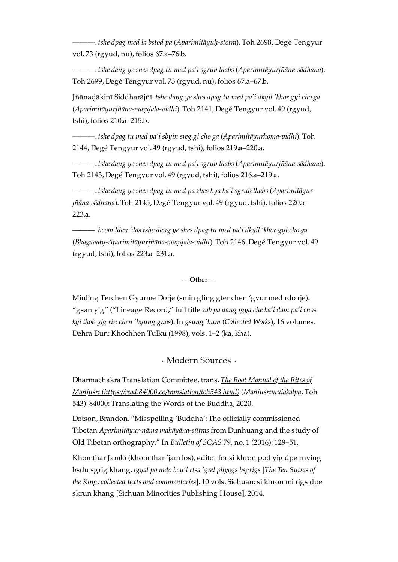———. *tshe dpag med la bstod pa* (*Aparimitāyuḥ-stotra*). Toh 2698, Degé Tengyur vol. 73 (rgyud, nu), folios 67.a–76.b.

———. *tshe dang ye shes dpag tu med pa'i sgrub thabs* (*Aparimitāyurjñāna-sādhana*). Toh 2699, Degé Tengyur vol. 73 (rgyud, nu), folios 67.a–67.b.

Jñānaḍākinī Siddharājñī. *tshe dang ye shes dpag tu med pa'i dkyil 'khor gyi cho ga* (*Aparimitāyurjñāna-maṇḍala-vidhi*). Toh 2141, Degé Tengyur vol. 49 (rgyud, tshi), folios 210.a–215.b.

———. *tshe dpag tu med pa'i sbyin sreg gi cho ga* (*Aparimitāyurhoma-vidhi*). Toh 2144, Degé Tengyur vol. 49 (rgyud, tshi), folios 219.a–220.a.

———. *tshe dang ye shes dpag tu med pa'i sgrub thabs* (*Aparimitāyurjñāna-sādhana*). Toh 2143, Degé Tengyur vol. 49 (rgyud, tshi), folios 216.a–219.a.

———. *tshe dang ye shes dpag tu med pa zhes bya ba'i sgrub thabs* (*Aparimitāyurjñāna-sādhana*). Toh 2145, Degé Tengyur vol. 49 (rgyud, tshi), folios 220.a– 223.a.

———. *bcom ldan 'das tshe dang ye shes dpag tu med pa'i dkyil 'khor gyi cho ga* (*Bhagavaty-Aparimitāyurjñāna-maṇḍala-vidhi*). Toh 2146, Degé Tengyur vol. 49 (rgyud, tshi), folios 223.a–231.a.

 $\cdot \cdot$  Other  $\cdot \cdot$ 

<span id="page-45-0"></span>Minling Terchen Gyurme Dorje (smin gling gter chen 'gyur med rdo rje). "gsan yig" ("Lineage Record," full title *zab pa dang rgya che ba'i dam pa'i chos kyi thob yig rin chen 'byung gnas*). In *gsung 'bum* (*Collected Works*), 16 volumes. Dehra Dun: Khochhen Tulku (1998), vols. 1–2 (ka, kha).

· Modern Sources ·

<span id="page-45-1"></span>Dharmachakra Translation Committee, trans. *The Root Manual of the Rites of Mañjuśrī [\(https://read.84000.co/translation/toh543.html\)](https://read.84000.co/translation/toh543.html)* (*Mañjuśrīmūlakalpa*, Toh 543). 84000: Translating the Words of the Buddha, 2020.

Dotson, Brandon. "Misspelling 'Buddha': The officially commissioned Tibetan *Aparimitāyur-nāma mahāyāna-sūtras* from Dunhuang and the study of Old Tibetan orthography." In *Bulletin of SOAS* 79, no. 1 (2016): 129–51.

Khomthar Jamlö (khoṁ thar 'jam los), editor for si khron pod yig dpe rnying bsdu sgrig khang.*rgyal po mdo bcu'i rtsa 'grel phyogs bsgrigs* [*The Ten Sūtras of the King, collected texts and commentaries*]. 10 vols. Sichuan: si khron mi rigs dpe skrun khang [Sichuan Minorities Publishing House], 2014.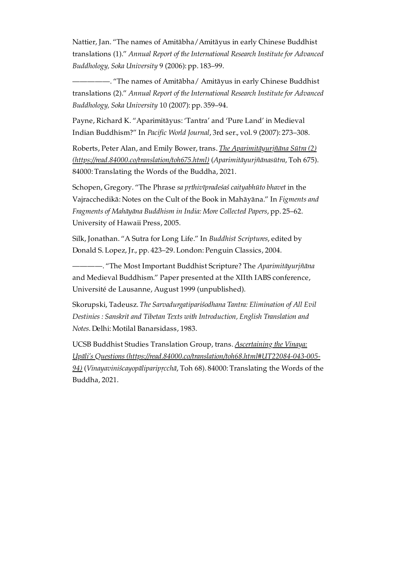Nattier, Jan. "The names of Amitābha/Amitāyus in early Chinese Buddhist translations (1)." *Annual Report of the International Research Institute for Advanced Buddhology, Soka University* 9 (2006): pp. 183–99.

—. "The names of Amitābha/ Amitāyus in early Chinese Buddhist translations (2)." *Annual Report of the International Research Institute for Advanced Buddhology, Soka University* 10 (2007): pp. 359–94.

Payne, Richard K. "Aparimitāyus: 'Tantra' and 'Pure Land' in Medieval Indian Buddhism?" In *Pacific World Journal*, 3rd ser., vol. 9 (2007): 273–308.

Roberts, Peter Alan, and Emily Bower, trans. *The Aparimitāyurjñāna Sūtra (2) [\(https://read.84000.co/translation/toh675.html\)](https://read.84000.co/translation/toh675.html)* (*Aparimitāyurjñānasūtra*, Toh 675). 84000: Translating the Words of the Buddha, 2021.

Schopen, Gregory. "The Phrase *sa pṛthivīpradeśaś caityabhūto bhavet* in the Vajracchedikā: Notes on the Cult of the Book in Mahāyāna." In *Figments and Fragments of Mahāyāna Buddhism in India: More Collected Papers*, pp. 25–62. University of Hawaii Press, 2005.

Silk, Jonathan. "A Sutra for Long Life." In *Buddhist Scriptures*, edited by Donald S. Lopez, Jr., pp. 423–29. London: Penguin Classics, 2004.

————. "The Most Important Buddhist Scripture? The *Aparimitāyurjñāna* and Medieval Buddhism." Paper presented at the XIIth IABS conference, Université de Lausanne, August 1999 (unpublished).

Skorupski, Tadeusz. *The Sarvadurgatipariśodhana Tantra: Elimination of All Evil Destinies : Sanskrit and Tibetan Texts with Introduction, English Translation and Notes*. Delhi: Motilal Banarsidass, 1983.

UCSB Buddhist Studies Translation Group, trans. *Ascertaining the Vinaya: Upāli's Questions [\(https://read.84000.co/translation/toh68.html#UT22084-043-005-](https://read.84000.co/translation/toh68.html#UT22084-043-005-94) 94)* (*Vinayaviniścayopāliparipṛcchā*, Toh 68). 84000: Translating the Words of the Buddha, 2021.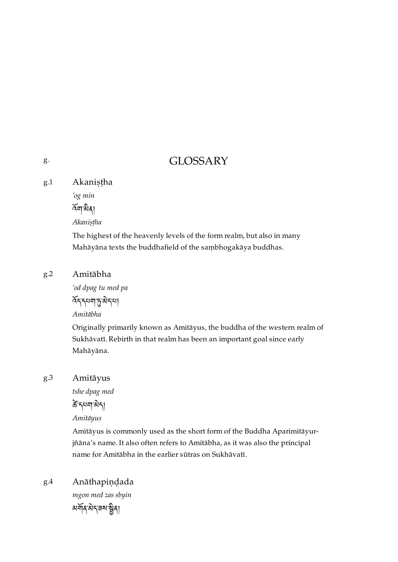# GLOSSARY

<span id="page-47-1"></span>Akaniṣṭha [g.1](#page-47-1)

*'og min*

 $\widetilde{\kappa}$ না মীৰ্ম

*Akaniṣṭha*

The highest of the heavenly levels of the form realm, but also in many Mahāyāna texts the buddhafield of the saṃbhogakāya buddhas.

### <span id="page-47-2"></span>Amitābha [g.2](#page-47-2)

*'od dpag tu med pa* देन नया हुन्नेन्या *Amitābha*

Originally primarily known as Amitāyus, the buddha of the western realm of Sukhāvatī. Rebirth in that realm has been an important goal since early Mahāyāna.

### <span id="page-47-3"></span>Amitāyus [g.3](#page-47-3)

*tshe dpag med*

कें दयवालेदा

*Amitāyus*

Amitāyus is commonly used as the short form of the Buddha Aparimitāyurjñāna's name. It also often refers to Amitābha, as it was also the principal name for Amitābha in the earlier sūtras on Sukhāvatī.

<span id="page-47-4"></span>Anāthapiṇḍada [g.4](#page-47-4)

*mgon med zas sbyin*

མན་ད་ཟས་ན།

<span id="page-47-0"></span>[g.](#page-47-0)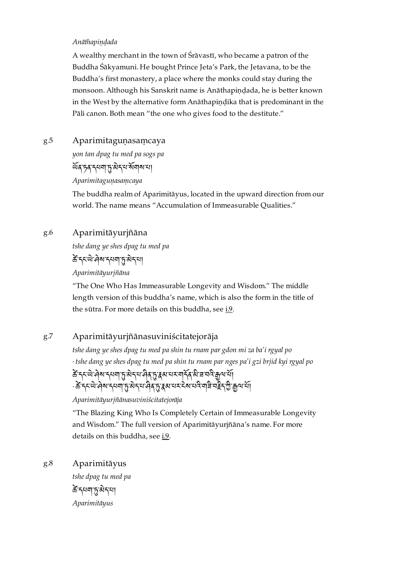### *Anāthapiṇḍada*

A wealthy merchant in the town of Śrāvastī, who became a patron of the Buddha Śākyamuni. He bought Prince Jeta's Park, the Jetavana, to be the Buddha's first monastery, a place where the monks could stay during the monsoon. Although his Sanskrit name is Anāthapiṇḍada, he is better known in the West by the alternative form Anāthapindika that is predominant in the Pāli canon. Both mean "the one who gives food to the destitute."

### <span id="page-48-0"></span>Aparimitaguṇasaṃcaya [g.5](#page-48-0)

*yon tan dpag tu med pa sogs pa*

ৰ্ধ্যবদ্দব্দস্থান্ত্ৰীন্দৰ্শ মাৰামা

*Aparimitaguṇasaṃcaya*

The buddha realm of Aparimitāyus, located in the upward direction from our world. The name means "Accumulation of Immeasurable Qualities."

### <span id="page-48-1"></span>Aparimitāyurjñāna [g.6](#page-48-1)

*tshe dang ye shes dpag tu med pa*

कें दरव्ये जेरा दगवा कुरु देन

*Aparimitāyurjñāna*

"The One Who Has Immeasurable Longevity and Wisdom." The middle length version of this buddha's name, which is also the form in the title of the sūtra. For more details on this buddha, see  $i.9$ .

### <span id="page-48-2"></span>Aparimitāyurjñānasuviniścitatejorāja [g.7](#page-48-2)

*tshe dang ye shes dpag tu med pa shin tu rnam par gdon mi za ba'i rgyal po* · *tshe dang ye shes dpag tu med pa shin tu rnam par nges pa'i gzi brjid kyi rgyal po* के दन्त्ये जेब राजना हु से दन्त्य जेब हु इस या या दिन्ध्य स्वयं कुत्र स्

<sup>ِ</sup> के द्रव्ये वेब दयवाँ हु अेदय वैदाँ द्वियाय दर्देब यदिवज्ञि चहे हुए कुपाया

*Aparimitāyurjñānasuviniścitatejorāja*

"The Blazing King Who Is Completely Certain of Immeasurable Longevity and Wisdom." The full version of Aparimitāyurjñāna's name. For more details on this buddha, see [i.9](#page-9-5).

<span id="page-48-3"></span>Aparimitāyus *tshe dpag tu med pa* [g.8](#page-48-3)

केन्द्रया पुरुषेदया *Aparimitāyus*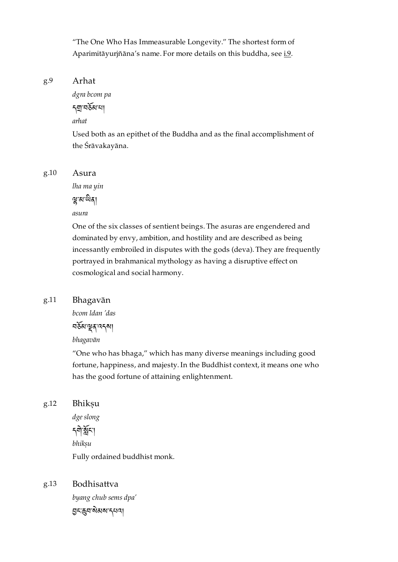"The One Who Has Immeasurable Longevity." The shortest form of Aparimitāyurjñāna's name. For more details on this buddha, see [i.9](#page-9-5).

#### <span id="page-49-0"></span>Arhat [g.9](#page-49-0)

*dgra bcom pa*

নহ্ম নৰ্ষৰা না

*arhat*

Used both as an epithet of the Buddha and as the final accomplishment of the Śrāvakayāna.

<span id="page-49-1"></span>[g.10](#page-49-1)

*lha ma yin*

Asura

ন্থ্ৰস্মস্মীৰ্

*asura*

One of the six classes of sentient beings. The asuras are engendered and dominated by envy, ambition, and hostility and are described as being incessantly embroiled in disputes with the gods (deva). They are frequently portrayed in brahmanical mythology as having a disruptive effect on cosmological and social harmony.

### <span id="page-49-2"></span>Bhagavān [g.11](#page-49-2)

*bcom ldan 'das*

བམ་ན་འདས།

*bhagavān*

"One who has bhaga," which has many diverse meanings including good fortune, happiness, and majesty. In the Buddhist context, it means one who has the good fortune of attaining enlightenment.

<span id="page-49-3"></span>Bhikṣu [g.12](#page-49-3)

> *dge slong* ད་ང་། *bhikṣu* Fully ordained buddhist monk.

### <span id="page-49-4"></span>Bodhisattva [g.13](#page-49-4)

*byang chub sems dpa'* ང་བ་མས་དཔའ།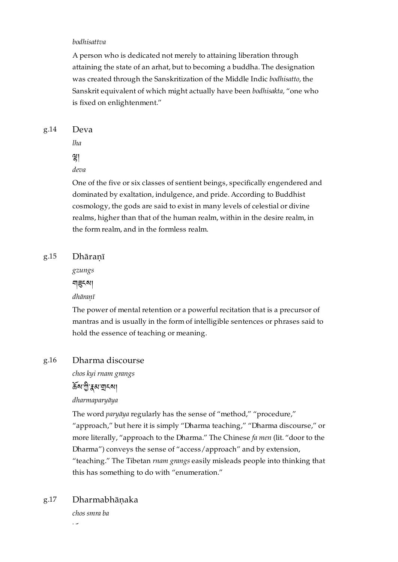### *bodhisattva*

A person who is dedicated not merely to attaining liberation through attaining the state of an arhat, but to becoming a buddha. The designation was created through the Sanskritization of the Middle Indic *bodhisatto*, the Sanskrit equivalent of which might actually have been *bodhisakta,* "one who is fixed on enlightenment."

#### <span id="page-50-0"></span>Deva [g.14](#page-50-0)

*lha*

# །

*deva*

One of the five or six classes of sentient beings, specifically engendered and dominated by exaltation, indulgence, and pride. According to Buddhist cosmology, the gods are said to exist in many levels of celestial or divine realms, higher than that of the human realm, within in the desire realm, in the form realm, and in the formless realm.

#### <span id="page-50-1"></span>Dhāraṇī [g.15](#page-50-1)

*gzungs*

নাৱনমা

*dhāraṇī*

The power of mental retention or a powerful recitation that is a precursor of mantras and is usually in the form of intelligible sentences or phrases said to hold the essence of teaching or meaning.

#### <span id="page-50-2"></span>Dharma discourse [g.16](#page-50-2)

*chos kyi rnam grangs*

## **ৰ্ক্ৰম'শ্ৰী** ব্লুৱখ যাৰ বিষয়

### *dharmaparyāya*

The word *paryāya* regularly has the sense of "method," "procedure,"

"approach," but here it is simply "Dharma teaching," "Dharma discourse," or more literally, "approach to the Dharma." The Chinese *fa men* (lit. "door to the Dharma") conveys the sense of "access/approach" and by extension,

"teaching." The Tibetan *rnam grangs* easily misleads people into thinking that this has something to do with "enumeration."

### <span id="page-50-3"></span>Dharmabhāṇaka [g.17](#page-50-3)

*chos smra ba*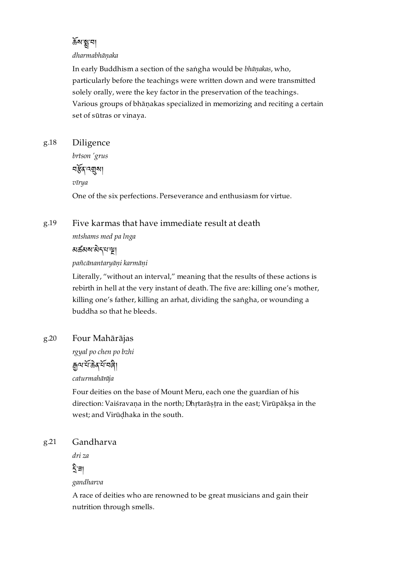# ৰ্ক্ৰমান্বা

### *dharmabhāṇaka*

In early Buddhism a section of the saṅgha would be *bhāṇakas*, who, particularly before the teachings were written down and were transmitted solely orally, were the key factor in the preservation of the teachings. Various groups of bhāṇakas specialized in memorizing and reciting a certain set of sūtras or vinaya.

### <span id="page-51-0"></span>Diligence [g.18](#page-51-0)

*brtson 'grus* নৰ্স্কুৰ মুৰা *vīrya*

One of the six perfections. Perseverance and enthusiasm for virtue.

### <span id="page-51-1"></span>Five karmas that have immediate result at death [g.19](#page-51-1)

*mtshams med pa lnga*

མཚམས་ད་པ་།

*pañcānantaryāṇi karmāṇi*

Literally, "without an interval," meaning that the results of these actions is rebirth in hell at the very instant of death. The five are: killing one's mother, killing one's father, killing an arhat, dividing the saṅgha, or wounding a buddha so that he bleeds.

### <span id="page-51-2"></span>Four Mahārājas [g.20](#page-51-2)

*rgyal po chen po bzhi*

ক্ৰুন্মাৰ্শ্বিকৰ্শ্বাৰী

*caturmahārāja*

Four deities on the base of Mount Meru, each one the guardian of his direction: Vaiśravaṇa in the north; Dhṛtarāṣṭra in the east; Virūpākṣa in the west; and Virūḍhaka in the south.

### <span id="page-51-3"></span>Gandharva [g.21](#page-51-3)

*dri za* ী∃া

*gandharva*

A race of deities who are renowned to be great musicians and gain their nutrition through smells.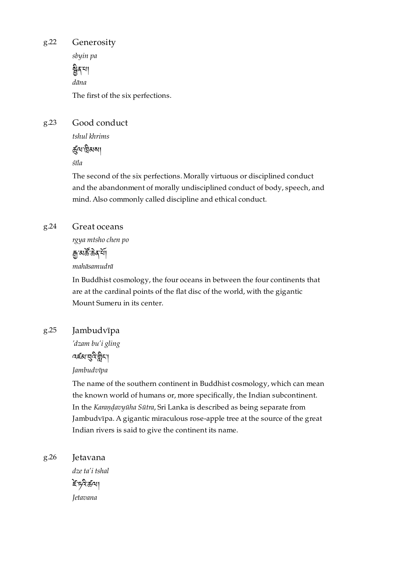<span id="page-52-0"></span>Generosity [g.22](#page-52-0)

*sbyin pa*

ষ্ট্ৰৰ'শ *dāna*

The first of the six perfections.

### <span id="page-52-1"></span>Good conduct [g.23](#page-52-1)

*tshul khrims*

ৰ্দ্ৰ্ম দ্বিৰুষা

*śīla*

The second of the six perfections. Morally virtuous or disciplined conduct and the abandonment of morally undisciplined conduct of body, speech, and mind. Also commonly called discipline and ethical conduct.

### <span id="page-52-2"></span>Great oceans [g.24](#page-52-2)

*rgya mtsho chen po*

# *ৰু* অৰ্ক্ট ক্ৰিব শ্ৰ

*mahāsamudrā*

In Buddhist cosmology, the four oceans in between the four continents that are at the cardinal points of the flat disc of the world, with the gigantic Mount Sumeru in its center.

### <span id="page-52-3"></span>Jambudvīpa [g.25](#page-52-3)

*'dzam bu'i gling*



### *Jambudvīpa*

The name of the southern continent in Buddhist cosmology, which can mean the known world of humans or, more specifically, the Indian subcontinent. In the *Karaṇḍavyūha Sūtra*, Sri Lanka is described as being separate from Jambudvīpa. A gigantic miraculous rose-apple tree at the source of the great Indian rivers is said to give the continent its name.

<span id="page-52-4"></span>Jetavana *dze ta'i tshal* [g.26](#page-52-4)

ਣੋਂ 59 ਛੱਕ। *Jetavana*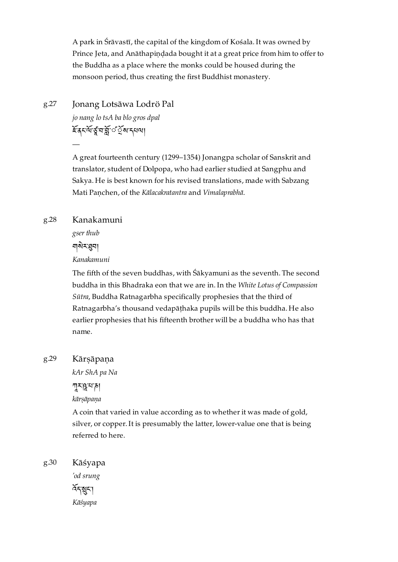A park in Śrāvastī, the capital of the kingdom of Kośala. It was owned by Prince Jeta, and Anāthapiṇḍada bought it at a great price from him to offer to the Buddha as a place where the monks could be housed during the monsoon period, thus creating the first Buddhist monastery.

### <span id="page-53-0"></span>Jonang Lotsāwa Lodrö Pal [g.27](#page-53-0)

*jo nang lo tsA ba blo gros dpal* ইন্দ্ৰ মন্ত্ৰ মন্ত্ৰ মন্ত্ৰ মন্ত্ৰ

A great fourteenth century (1299–1354) Jonangpa scholar of Sanskrit and translator, student of Dolpopa, who had earlier studied at Sangphu and Sakya. He is best known for his revised translations, made with Sabzang Mati Paṇchen, of the *Kālacakratantra* and *Vimalaprabhā*.

### <span id="page-53-1"></span>Kanakamuni [g.28](#page-53-1)

—

*gser thub*

নাৰীমধ্ৰমা

*Kanakamuni*

The fifth of the seven buddhas, with Śākyamuni as the seventh. The second buddha in this Bhadraka eon that we are in. In the *White Lotus of Compassion Sūtra*, Buddha Ratnagarbha specifically prophesies that the third of Ratnagarbha's thousand vedapāṭhaka pupils will be this buddha. He also earlier prophesies that his fifteenth brother will be a buddha who has that name.

### <span id="page-53-2"></span>Kārṣāpaṇa [g.29](#page-53-2)

*kAr ShA pa Na*

 $\pi$ ར་<mark>ལ</mark>་ར་ན་ར་

*kārṣāpaṇa*

A coin that varied in value according as to whether it was made of gold, silver, or copper. It is presumably the latter, lower-value one that is being referred to here.

<span id="page-53-3"></span>Kāśyapa *'od srung* ৰ্বন্মুনা *Kāśyapa* [g.30](#page-53-3)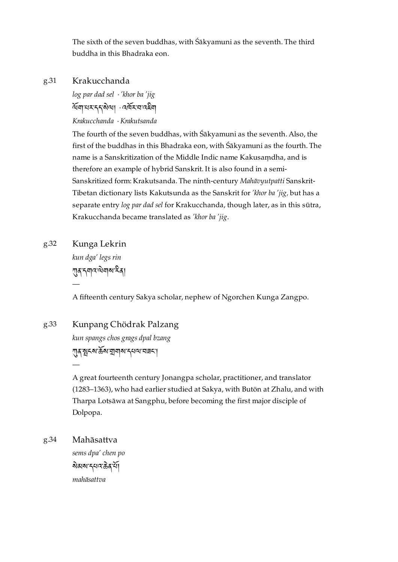The sixth of the seven buddhas, with Śākyamuni as the seventh. The third buddha in this Bhadraka eon.

### <span id="page-54-0"></span>Krakucchanda [g.31](#page-54-0)

*log par dad sel* · *'khor ba 'jig* ন্মৰাৰ্মসম্বৰ্ষৰা স্মৰ্মৰাৰ্দ্ধৰা *Krakucchanda* · *Krakutsanda*

The fourth of the seven buddhas, with Śākyamuni as the seventh. Also, the first of the buddhas in this Bhadraka eon, with Śākyamuni as the fourth. The name is a Sanskritization of the Middle Indic name Kakusaṃdha, and is therefore an example of hybrid Sanskrit. It is also found in a semi-Sanskritized form: Krakutsanda. The ninth-century *Mahāvyutpatti* Sanskrit-Tibetan dictionary lists Kakutsunda as the Sanskrit for *'khor ba 'jig,* but has a separate entry *log par dad sel* for Krakucchanda, though later, as in this sūtra, Krakucchanda became translated as *'khor ba 'jig*.

### <span id="page-54-1"></span>Kunga Lekrin [g.32](#page-54-1)

*kun dga' legs rin* **ग़ाद** दबाद खेबाब देता —

A fifteenth century Sakya scholar, nephew of Ngorchen Kunga Zangpo.

### <span id="page-54-2"></span>Kunpang Chödrak Palzang [g.33](#page-54-2)

*kun spangs chos grags dpal bzang* গ্রুগ্মেৎমার্ক্রমাত্রাব্রামাণ্ড্রামাণ্ড

A great fourteenth century Jonangpa scholar, practitioner, and translator (1283–1363), who had earlier studied at Sakya, with Butön at Zhalu, and with Tharpa Lotsāwa at Sangphu, before becoming the first major disciple of Dolpopa.

<span id="page-54-3"></span>Mahāsattva [g.34](#page-54-3)

—

*sems dpa' chen po* <u> <sup>ষ্ণীৱাৰ প্ৰবাসী</u></u></sup> *mahāsattva*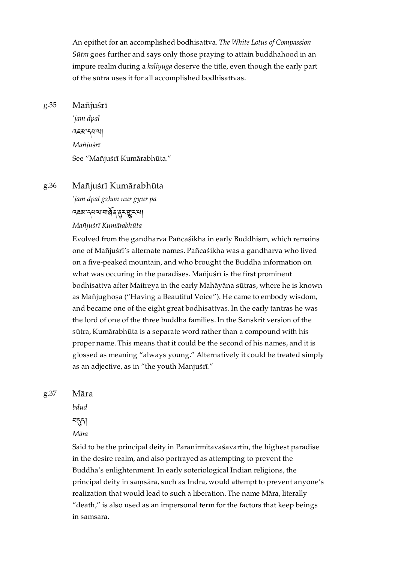An epithet for an accomplished bodhisattva. *The White Lotus of Compassion Sūtra* goes further and says only those praying to attain buddhahood in an impure realm during a *kaliyuga* deserve the title, even though the early part of the sūtra uses it for all accomplished bodhisattvas.

#### <span id="page-55-0"></span>Mañjuśrī [g.35](#page-55-0)

*'jam dpal* འཇམ་དཔལ། *Mañjuśrī* See "Mañjuśrī Kumārabhūta."

### <span id="page-55-1"></span>Mañjuśrī Kumārabhūta [g.36](#page-55-1)

*'jam dpal gzhon nur gyur pa* འཇམ་དཔལ་གན་ར་ར་པ། *Mañjuśrī Kumārabhūta*

Evolved from the gandharva Pañcaśikha in early Buddhism, which remains one of Mañjuśrī's alternate names. Pañcaśikha was a gandharva who lived on a five-peaked mountain, and who brought the Buddha information on what was occuring in the paradises. Mañjuśrī is the first prominent bodhisattva after Maitreya in the early Mahāyāna sūtras, where he is known as Mañjughosa ("Having a Beautiful Voice"). He came to embody wisdom, and became one of the eight great bodhisattvas. In the early tantras he was the lord of one of the three buddha families. In the Sanskrit version of the sūtra, Kumārabhūta is a separate word rather than a compound with his proper name. This means that it could be the second of his names, and it is glossed as meaning "always young." Alternatively it could be treated simply as an adjective, as in "the youth Manjuśrī."

<span id="page-55-2"></span>[g.37](#page-55-2)

*bdud*

Māra

ন্ত্ৰ

*Māra*

Said to be the principal deity in Paranirmitavaśavartin, the highest paradise in the desire realm, and also portrayed as attempting to prevent the Buddha's enlightenment. In early soteriological Indian religions, the principal deity in saṃsāra, such as Indra, would attempt to prevent anyone's realization that would lead to such a liberation. The name Māra, literally "death," is also used as an impersonal term for the factors that keep beings in samsara.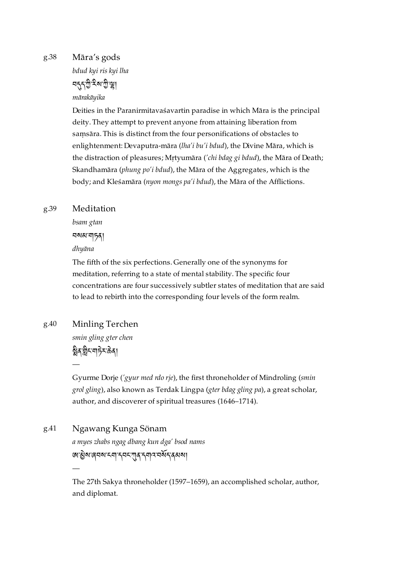### <span id="page-56-0"></span>Māra's gods [g.38](#page-56-0)

*bdud kyi ris kyi lha*

<u>ব্দুদৃ</u>ষ্ট হৰাত্মীজী *mārakāyika*

Deities in the Paranirmitavaśavartin paradise in which Māra is the principal deity. They attempt to prevent anyone from attaining liberation from saṃsāra. This is distinct from the four personifications of obstacles to enlightenment: Devaputra-māra (*lha'i bu'i bdud*), the Divine Māra, which is the distraction of pleasures; Mṛtyumāra (*'chi bdag gi bdud*), the Māra of Death; Skandhamāra (*phung po'i bdud*), the Māra of the Aggregates, which is the body; and Kleśamāra (*nyon mongs pa'i bdud*), the Māra of the Afflictions.

### <span id="page-56-1"></span>Meditation [g.39](#page-56-1)

*bsam gtan* བསམ་གཏན། *dhyāna*

The fifth of the six perfections. Generally one of the synonyms for meditation, referring to a state of mental stability. The specific four concentrations are four successively subtler states of meditation that are said to lead to rebirth into the corresponding four levels of the form realm.

<span id="page-56-2"></span>Minling Terchen [g.40](#page-56-2)

*smin gling gter chen*

ষ্ট্ৰিব'ন্নীম'ক্ৰিবা —

—

Gyurme Dorje (*'gyur med rdo rje*), the first throneholder of Mindroling (*smin grol gling*), also known as Terdak Lingpa (*gter bdag gling pa*), a great scholar, author, and discoverer of spiritual treasures (1646–1714).

<span id="page-56-3"></span>Ngawang Kunga Sönam *a myes zhabs ngag dbang kun dga' bsod nams* জান্ত্ৰীষ্মাৰ্ঘৰ্ষ্মমান্দ্ৰণ্য বিদ্যালয় কৰিব কৰে। [g.41](#page-56-3)

> The 27th Sakya throneholder (1597–1659), an accomplished scholar, author, and diplomat.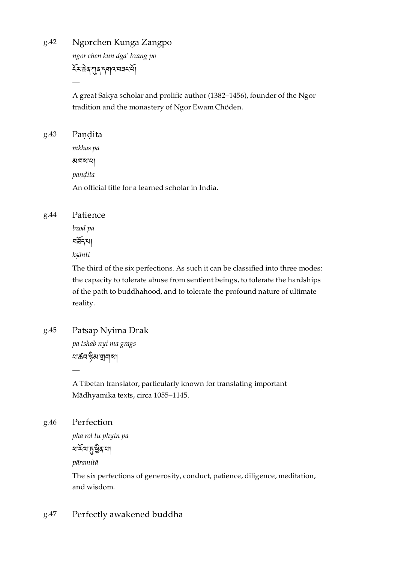<span id="page-57-0"></span>Ngorchen Kunga Zangpo [g.42](#page-57-0)

*ngor chen kun dga' bzang po*

ར་ན་ན་དགའ་བཟང་།

—

A great Sakya scholar and prolific author (1382–1456), founder of the Ngor tradition and the monastery of Ngor Ewam Chöden.

<span id="page-57-1"></span>

| g.43 | Pandita                                           |
|------|---------------------------------------------------|
|      | mkhas pa                                          |
|      | মানম'মা                                           |
|      | pandita                                           |
|      | An official title for a learned scholar in India. |
|      |                                                   |

### <span id="page-57-2"></span>Patience [g.44](#page-57-2)

*bzod pa*

নৰ্ষ্ণখা

*kṣānti*

The third of the six perfections. As such it can be classified into three modes: the capacity to tolerate abuse from sentient beings, to tolerate the hardships of the path to buddhahood, and to tolerate the profound nature of ultimate reality.

### <span id="page-57-3"></span>Patsap Nyima Drak [g.45](#page-57-3)

*pa tshab nyi ma grags* ধাৰ্ক্ৰবাণ্ট্ৰমান্থাৰ্মা

A Tibetan translator, particularly known for translating important Mādhyamika texts, circa 1055–1145.

### <span id="page-57-4"></span>Perfection [g.46](#page-57-4)

—

*pha rol tu phyin pa*

ধর্শ্মস্ত্রীর্মা

*pāramitā*

The six perfections of generosity, conduct, patience, diligence, meditation, and wisdom.

### <span id="page-57-5"></span>Perfectly awakened buddha [g.47](#page-57-5)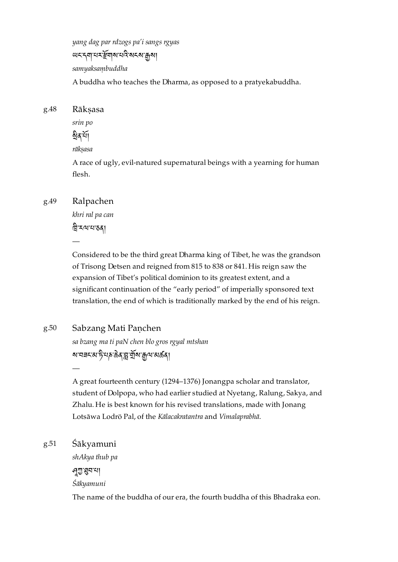*yang dag par rdzogs pa'i sangs rgyas* <u> ਘਟ 5বা নহাইবাৰ নামুখে অবস্থা</u> *samyaksaṃbuddha* A buddha who teaches the Dharma, as opposed to a pratyekabuddha.

<span id="page-58-0"></span>Rāksasa *srin po* <u>ম্বিক্</u>ৰয়া [g.48](#page-58-0)

*rākṣasa*

A race of ugly, evil-natured supernatural beings with a yearning for human flesh.

### <span id="page-58-1"></span>Ralpachen [g.49](#page-58-1)

—

*khri ral pa can* ন্নিখ্যমন্তবা

Considered to be the third great Dharma king of Tibet, he was the grandson of Trisong Detsen and reigned from 815 to 838 or 841. His reign saw the expansion of Tibet's political dominion to its greatest extent, and a significant continuation of the "early period" of imperially sponsored text translation, the end of which is traditionally marked by the end of his reign.

### <span id="page-58-2"></span>Sabzang Mati Paṇchen [g.50](#page-58-2)

*sa bzang ma ti paN chen blo gros rgyal mtshan* <u>য়ৼয়ৼ৸ড়ড়ঀৼৗ৻৸ড়ড়৸ড়৸ড়</u>

A great fourteenth century (1294–1376) Jonangpa scholar and translator, student of Dolpopa, who had earlier studied at Nyetang, Ralung, Sakya, and Zhalu. He is best known for his revised translations, made with Jonang Lotsāwa Lodrö Pal, of the *Kālacakratantra* and *Vimalaprabhā*.

### <span id="page-58-3"></span>Śākyamuni [g.51](#page-58-3)

—

*shAkya thub pa* ণ্মুম্বন'না *Śākyamuni*

The name of the buddha of our era, the fourth buddha of this Bhadraka eon.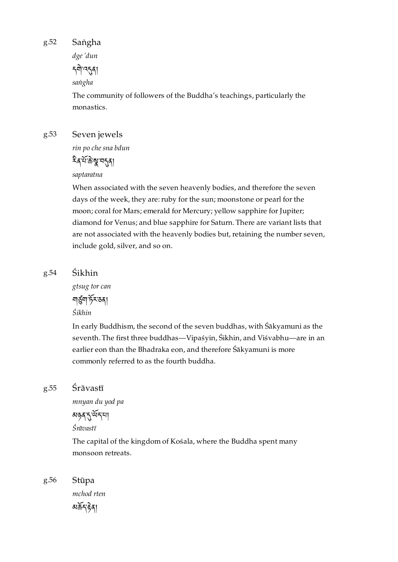<span id="page-59-0"></span>Saṅgha [g.52](#page-59-0)

> *dge 'dun* **নশী** দ্বর্

*saṅgha*

The community of followers of the Buddha's teachings, particularly the monastics.

#### <span id="page-59-1"></span>Seven jewels [g.53](#page-59-1)

*rin po che sna bdun*

ষ্ট্রস্ম মন্ত্র

*saptaratna*

When associated with the seven heavenly bodies, and therefore the seven days of the week, they are:ruby for the sun; moonstone or pearl for the moon; coral for Mars; emerald for Mercury; yellow sapphire for Jupiter; diamond for Venus; and blue sapphire for Saturn. There are variant lists that are not associated with the heavenly bodies but, retaining the number seven, include gold, silver, and so on.

### <span id="page-59-2"></span>Śikhin [g.54](#page-59-2)

*gtsug tor can* নাৰ্ত্ত্ৰশাৰ্ট মতৰা *Śikhin*

In early Buddhism, the second of the seven buddhas, with Śākyamuni as the seventh. The first three buddhas—Vipaśyin, Śikhin, and Viśvabhu—are in an earlier eon than the Bhadraka eon, and therefore Śākyamuni is more commonly referred to as the fourth buddha.

#### <span id="page-59-3"></span>Śrāvastī [g.55](#page-59-3)

*mnyan du yod pa*

མཉན་་ད་པ།

*Śrāvastī*

The capital of the kingdom of Kośala, where the Buddha spent many monsoon retreats.

<span id="page-59-4"></span>[g.56](#page-59-4)

*mchod rten* མད་ན།

Stūpa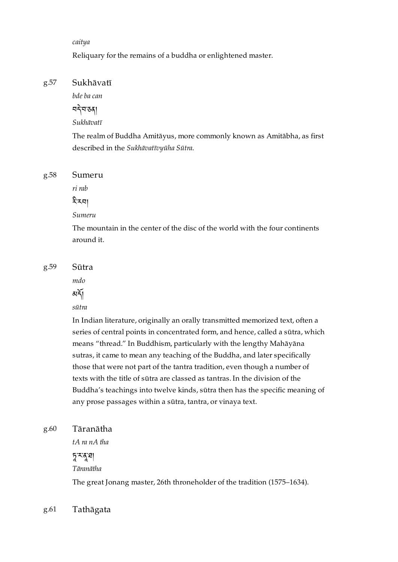### *caitya*

Reliquary for the remains of a buddha or enlightened master.

#### <span id="page-60-0"></span>Sukhāvatī [g.57](#page-60-0)

*bde ba can*

བ་བ་ཅན།

*Sukhāvatī*

The realm of Buddha Amitāyus, more commonly known as Amitābha, as first described in the *Sukhāvatīvyūha Sūtra*.

#### <span id="page-60-1"></span>Sumeru [g.58](#page-60-1)

*ri rab*

হীময়।

### *Sumeru*

The mountain in the center of the disc of the world with the four continents around it.

<span id="page-60-2"></span>[g.59](#page-60-2)

# *mdo*

Sūtra

মর্শ

### *sūtra*

In Indian literature, originally an orally transmitted memorized text, often a series of central points in concentrated form, and hence, called a sūtra, which means "thread." In Buddhism, particularly with the lengthy Mahāyāna sutras, it came to mean any teaching of the Buddha, and later specifically those that were not part of the tantra tradition, even though a number of texts with the title of sūtra are classed as tantras. In the division of the Buddha's teachings into twelve kinds, sūtra then has the specific meaning of any prose passages within a sūtra, tantra, or vinaya text.

#### <span id="page-60-3"></span>Tāranātha [g.60](#page-60-3)

*tA ra nA tha*

# ་ར་་ཐ།

*Tāranātha*

The great Jonang master, 26th throneholder of the tradition (1575–1634).

#### <span id="page-60-4"></span>Tathāgata [g.61](#page-60-4)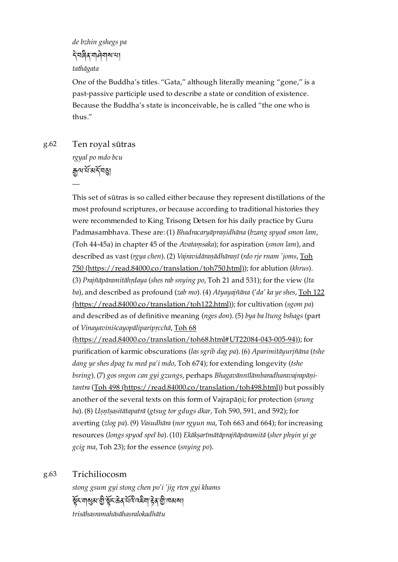*de bzhin gshegs pa* নিগুখনা বিদ্যালয় *tathāgata*

One of the Buddha's titles. "Gata," although literally meaning "gone," is a past-passive participle used to describe a state or condition of existence. Because the Buddha's state is inconceivable, he is called "the one who is thus."

<span id="page-61-0"></span>Ten royal sūtras [g.62](#page-61-0)

—

*rgyal po mdo bcu* ৰ্দ্ৰুত্ম যাঁ মৰ্ম্নৰা

This set of sūtras is so called either because they represent distillations of the most profound scriptures, or because according to traditional histories they were recommended to King Trisong Detsen for his daily practice by Guru Padmasambhava. These are: (1) *Bhadracaryāpraṇidhāna* (*bzang spyod smon lam*, (Toh 44-45a) in chapter 45 of the *Avataṃsaka*); for aspiration (*smon lam*), and described as vast (*rgya chen*). (2) *Vajravidāraṇādhāraṇī* (*rdo rje rnam 'joms*, Toh 750 [\(https://read.84000.co/translation/toh750.html\)\);](https://read.84000.co/translation/toh750.html) for ablution (*khrus*). (3) *Prajñāpāramitāhṛdaya* (*shes rab snying po*, Toh 21 and 531); for the view (*lta ba*), and described as profound (*zab mo*). (4) *Atyayajñāna* ('*da' ka ye shes*, Toh 122 [\(https://read.84000.co/translation/toh122.html\)\);](https://read.84000.co/translation/toh122.html) for cultivation (*sgom pa*) and described as of definitive meaning (*nges don*). (5) *bya ba ltung bshags* (part of *Vinayaviniścayopāliparipṛcchā*, Toh 68

[\(https://read.84000.co/translation/toh68.html#UT22084-043-005-94\)\)](https://read.84000.co/translation/toh68.html#UT22084-043-005-94); for purification of karmic obscurations (*las sgrib dag pa*). (6) *Aparimitāyurjñāna* (*tshe dang ye shes dpag tu med pa'i mdo*, Toh 674); for extending longevity (*tshe bsring*). (7) *gos sngon can gyi gzungs*, perhaps *Bhagavānnīlāmbaradharavajrapāṇitantra* (Toh 498 [\(https://read.84000.co/translation/toh498.html\)\)](https://read.84000.co/translation/toh498.html) but possibly another of the several texts on this form of Vajrapāṇi; for protection (*srung ba*). (8) *Uṣṇīṣasitātapatrā* (*gtsug tor gdugs dkar*, Toh 590, 591, and 592); for averting (*zlog pa*). (9) *Vasudhāra* (*nor rgyun ma*, Toh 663 and 664); for increasing resources (*longs spyod spel ba*). (10) *Ekākṣarīmātāprajñāpāramitā* (*sher phyin yi ge gcig ma*, Toh 23); for the essence (*snying po*).

### <span id="page-61-1"></span>Trichiliocosm [g.63](#page-61-1)

*stong gsum gyi stong chen po'i 'jig rten gyi khams* ষ্ঠুঁহ যাৰ্থম শ্ৰী ষ্টুঁহ ক্ৰিব বৰি বৰ্হমা দ্বৰ শ্ৰী দেখন। *trisāhasramahāsāhasralokadhātu*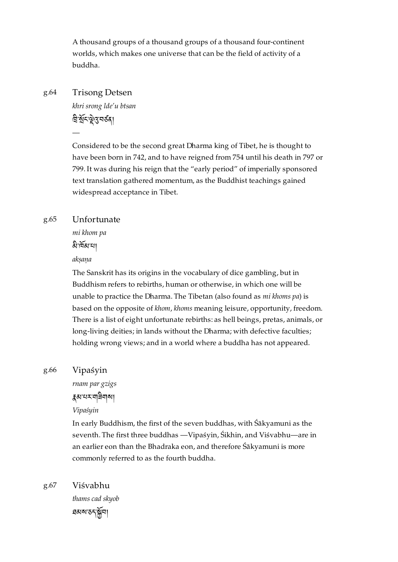A thousand groups of a thousand groups of a thousand four-continent worlds, which makes one universe that can be the field of activity of a buddha.

### <span id="page-62-0"></span>Trisong Detsen [g.64](#page-62-0)

*khri srong lde'u btsan*

ন্নি যুঁবস্থিত্বসৰ্তবা

—

Considered to be the second great Dharma king of Tibet, he is thought to have been born in 742, and to have reigned from 754 until his death in 797 or 799. It was during his reign that the "early period" of imperially sponsored text translation gathered momentum, as the Buddhist teachings gained widespread acceptance in Tibet.

#### <span id="page-62-1"></span>Unfortunate [g.65](#page-62-1)

*mi khom pa*

ৰ্ম্বাৰ্মৰা

*akṣaṇa*

The Sanskrit has its origins in the vocabulary of dice gambling, but in Buddhism refers to rebirths, human or otherwise, in which one will be unable to practice the Dharma. The Tibetan (also found as *mi khoms pa*) is based on the opposite of *khom*, *khoms* meaning leisure, opportunity, freedom. There is a list of eight unfortunate rebirths: as hell beings, pretas, animals, or long-living deities; in lands without the Dharma; with defective faculties; holding wrong views; and in a world where a buddha has not appeared.

### <span id="page-62-2"></span>Vipaśyin [g.66](#page-62-2)

*rnam par gzigs* མ་པར་གཟིགས།

*Vipaśyin*

In early Buddhism, the first of the seven buddhas, with Śākyamuni as the seventh. The first three buddhas —Vipaśyin, Śikhin, and Viśvabhu—are in an earlier eon than the Bhadraka eon, and therefore Śākyamuni is more commonly referred to as the fourth buddha.

<span id="page-62-3"></span>Viśvabhu [g.67](#page-62-3)

*thams cad skyob* ཐམས་ཅད་བ།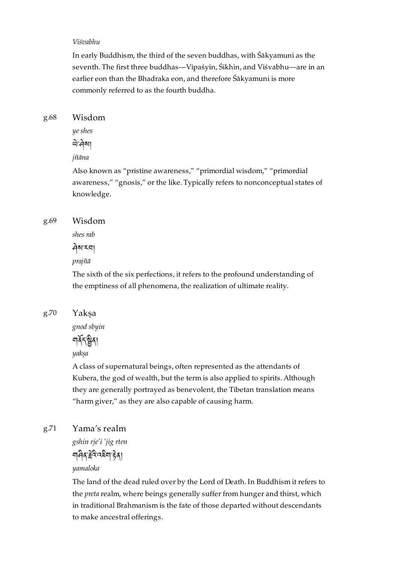### *Viśvabhu*

In early Buddhism, the third of the seven buddhas, with Śākyamuni as the seventh. The first three buddhas—Vipaśyin, Śikhin, and Viśvabhu—are in an earlier eon than the Bhadraka eon, and therefore Śākyamuni is more commonly referred to as the fourth buddha.

<span id="page-63-0"></span>Wisdom [g.68](#page-63-0)

> *ye shes* ঐ'ঐমা

*jñāna*

Also known as "pristine awareness," "primordial wisdom," "primordial awareness," "gnosis," or the like. Typically refers to nonconceptual states of knowledge.

#### <span id="page-63-1"></span>Wisdom [g.69](#page-63-1)

*shes rab*

ས་རབ།

### *prajñā*

The sixth of the six perfections, it refers to the profound understanding of the emptiness of all phenomena, the realization of ultimate reality.

#### <span id="page-63-2"></span>Yakṣa [g.70](#page-63-2)

*gnod sbyin*

নার্ষ শ্বী

*yakṣa*

A class of supernatural beings, often represented as the attendants of Kubera, the god of wealth, but the term is also applied to spirits. Although they are generally portrayed as benevolent, the Tibetan translation means "harm giver," as they are also capable of causing harm.

### <span id="page-63-3"></span>Yama's realm [g.71](#page-63-3)

*gshin rje'i 'jig rten*

गानेव हेर्दै दहना हेता

### *yamaloka*

The land of the dead ruled over by the Lord of Death. In Buddhism it refers to the *preta* realm, where beings generally suffer from hunger and thirst, which in traditional Brahmanism is the fate of those departed without descendants to make ancestral offerings.